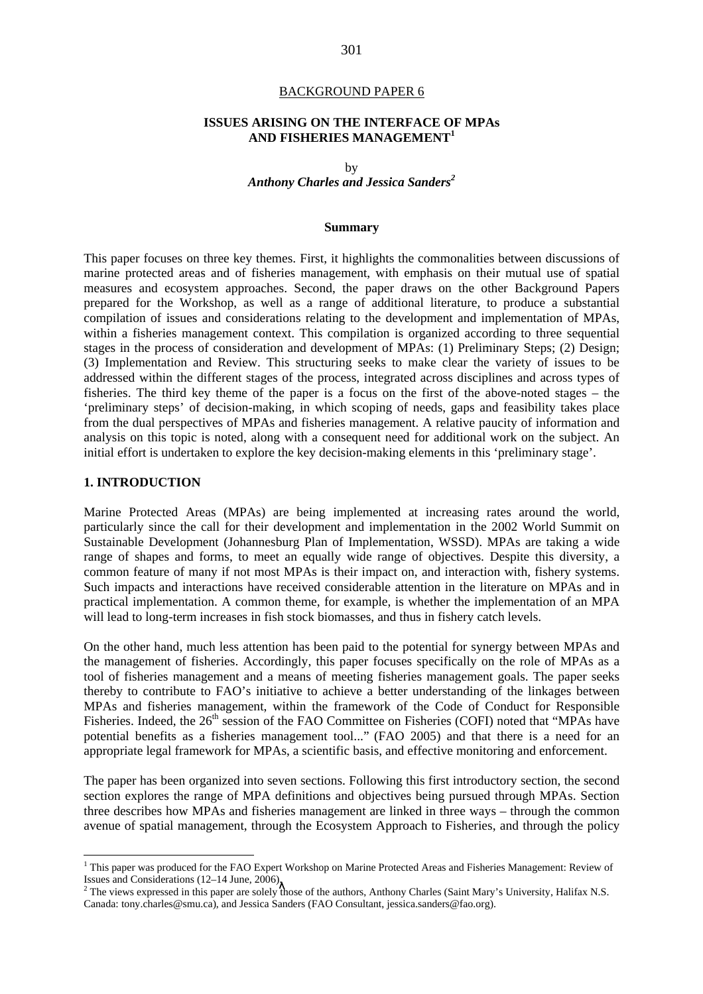#### BACKGROUND PAPER 6

#### **ISSUES ARISING ON THE INTERFACE OF MPAs AND FISHERIES MANAGEMENT<sup>1</sup>**

by *Anthony Charles and Jessica Sanders<sup>2</sup>*

#### **Summary**

This paper focuses on three key themes. First, it highlights the commonalities between discussions of marine protected areas and of fisheries management, with emphasis on their mutual use of spatial measures and ecosystem approaches. Second, the paper draws on the other Background Papers prepared for the Workshop, as well as a range of additional literature, to produce a substantial compilation of issues and considerations relating to the development and implementation of MPAs, within a fisheries management context. This compilation is organized according to three sequential stages in the process of consideration and development of MPAs: (1) Preliminary Steps; (2) Design; (3) Implementation and Review. This structuring seeks to make clear the variety of issues to be addressed within the different stages of the process, integrated across disciplines and across types of fisheries. The third key theme of the paper is a focus on the first of the above-noted stages – the 'preliminary steps' of decision-making, in which scoping of needs, gaps and feasibility takes place from the dual perspectives of MPAs and fisheries management. A relative paucity of information and analysis on this topic is noted, along with a consequent need for additional work on the subject. An initial effort is undertaken to explore the key decision-making elements in this 'preliminary stage'.

#### **1. INTRODUCTION**

 $\overline{a}$ 

Marine Protected Areas (MPAs) are being implemented at increasing rates around the world, particularly since the call for their development and implementation in the 2002 World Summit on Sustainable Development (Johannesburg Plan of Implementation, WSSD). MPAs are taking a wide range of shapes and forms, to meet an equally wide range of objectives. Despite this diversity, a common feature of many if not most MPAs is their impact on, and interaction with, fishery systems. Such impacts and interactions have received considerable attention in the literature on MPAs and in practical implementation. A common theme, for example, is whether the implementation of an MPA will lead to long-term increases in fish stock biomasses, and thus in fishery catch levels.

On the other hand, much less attention has been paid to the potential for synergy between MPAs and the management of fisheries. Accordingly, this paper focuses specifically on the role of MPAs as a tool of fisheries management and a means of meeting fisheries management goals. The paper seeks thereby to contribute to FAO's initiative to achieve a better understanding of the linkages between MPAs and fisheries management, within the framework of the Code of Conduct for Responsible Fisheries. Indeed, the 26<sup>th</sup> session of the FAO Committee on Fisheries (COFI) noted that "MPAs have potential benefits as a fisheries management tool..." (FAO 2005) and that there is a need for an appropriate legal framework for MPAs, a scientific basis, and effective monitoring and enforcement.

The paper has been organized into seven sections. Following this first introductory section, the second section explores the range of MPA definitions and objectives being pursued through MPAs. Section three describes how MPAs and fisheries management are linked in three ways – through the common avenue of spatial management, through the Ecosystem Approach to Fisheries, and through the policy

<sup>&</sup>lt;sup>1</sup> This paper was produced for the FAO Expert Workshop on Marine Protected Areas and Fisheries Management: Review of Issues and Considerations (12–14 June, 2006).<br><sup>2</sup> The views expressed in this paper are solely those of the authors, Anthony Charles (Saint Mary's University, Halifax N.S.

Canada: tony.charles@smu.ca), and Jessica Sanders (FAO Consultant, jessica.sanders@fao.org).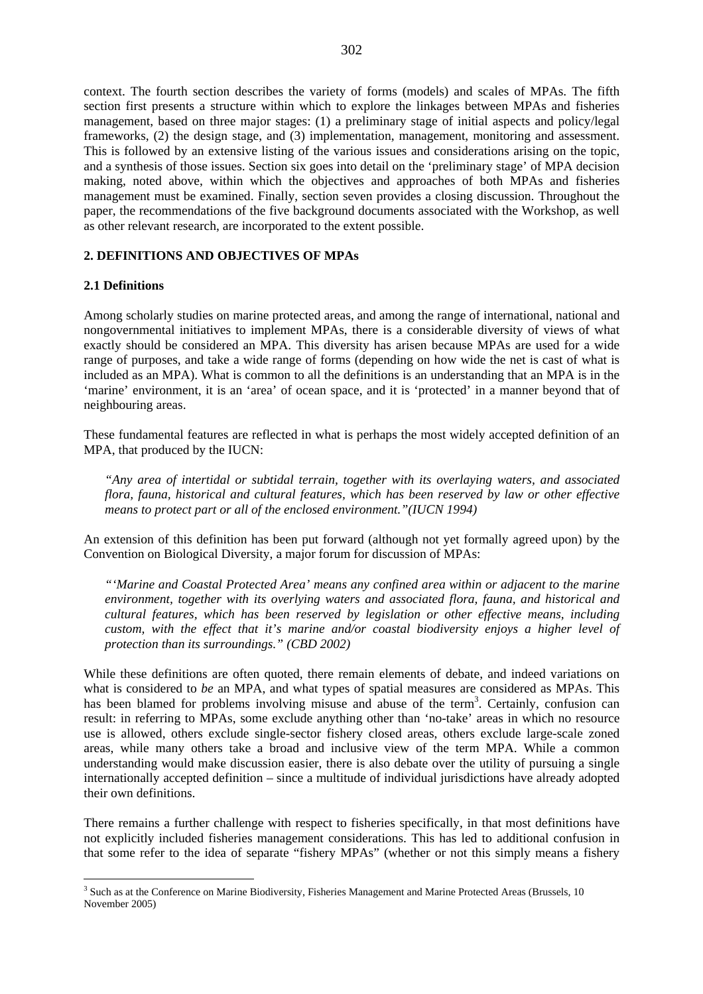context. The fourth section describes the variety of forms (models) and scales of MPAs. The fifth section first presents a structure within which to explore the linkages between MPAs and fisheries management, based on three major stages: (1) a preliminary stage of initial aspects and policy/legal frameworks, (2) the design stage, and (3) implementation, management, monitoring and assessment. This is followed by an extensive listing of the various issues and considerations arising on the topic, and a synthesis of those issues. Section six goes into detail on the 'preliminary stage' of MPA decision making, noted above, within which the objectives and approaches of both MPAs and fisheries management must be examined. Finally, section seven provides a closing discussion. Throughout the paper, the recommendations of the five background documents associated with the Workshop, as well as other relevant research, are incorporated to the extent possible.

### **2. DEFINITIONS AND OBJECTIVES OF MPAs**

#### **2.1 Definitions**

 $\overline{a}$ 

Among scholarly studies on marine protected areas, and among the range of international, national and nongovernmental initiatives to implement MPAs, there is a considerable diversity of views of what exactly should be considered an MPA. This diversity has arisen because MPAs are used for a wide range of purposes, and take a wide range of forms (depending on how wide the net is cast of what is included as an MPA). What is common to all the definitions is an understanding that an MPA is in the 'marine' environment, it is an 'area' of ocean space, and it is 'protected' in a manner beyond that of neighbouring areas.

These fundamental features are reflected in what is perhaps the most widely accepted definition of an MPA, that produced by the IUCN:

*"Any area of intertidal or subtidal terrain, together with its overlaying waters, and associated flora, fauna, historical and cultural features, which has been reserved by law or other effective means to protect part or all of the enclosed environment."(IUCN 1994)* 

An extension of this definition has been put forward (although not yet formally agreed upon) by the Convention on Biological Diversity, a major forum for discussion of MPAs:

*"'Marine and Coastal Protected Area' means any confined area within or adjacent to the marine environment, together with its overlying waters and associated flora, fauna, and historical and cultural features, which has been reserved by legislation or other effective means, including custom, with the effect that it's marine and/or coastal biodiversity enjoys a higher level of protection than its surroundings." (CBD 2002)* 

While these definitions are often quoted, there remain elements of debate, and indeed variations on what is considered to *be* an MPA, and what types of spatial measures are considered as MPAs. This has been blamed for problems involving misuse and abuse of the term<sup>3</sup>. Certainly, confusion can result: in referring to MPAs, some exclude anything other than 'no-take' areas in which no resource use is allowed, others exclude single-sector fishery closed areas, others exclude large-scale zoned areas, while many others take a broad and inclusive view of the term MPA. While a common understanding would make discussion easier, there is also debate over the utility of pursuing a single internationally accepted definition – since a multitude of individual jurisdictions have already adopted their own definitions.

There remains a further challenge with respect to fisheries specifically, in that most definitions have not explicitly included fisheries management considerations. This has led to additional confusion in that some refer to the idea of separate "fishery MPAs" (whether or not this simply means a fishery

<sup>&</sup>lt;sup>3</sup> Such as at the Conference on Marine Biodiversity, Fisheries Management and Marine Protected Areas (Brussels, 10 November 2005)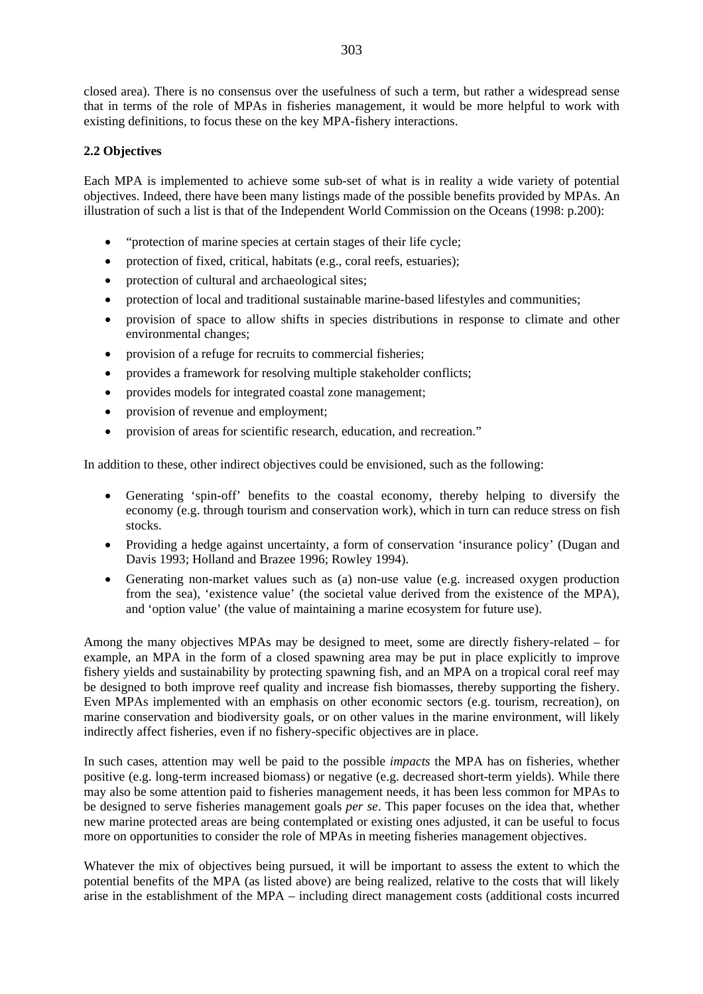closed area). There is no consensus over the usefulness of such a term, but rather a widespread sense that in terms of the role of MPAs in fisheries management, it would be more helpful to work with existing definitions, to focus these on the key MPA-fishery interactions.

### **2.2 Objectives**

Each MPA is implemented to achieve some sub-set of what is in reality a wide variety of potential objectives. Indeed, there have been many listings made of the possible benefits provided by MPAs. An illustration of such a list is that of the Independent World Commission on the Oceans (1998: p.200):

- "protection of marine species at certain stages of their life cycle;
- protection of fixed, critical, habitats (e.g., coral reefs, estuaries);
- protection of cultural and archaeological sites;
- protection of local and traditional sustainable marine-based lifestyles and communities;
- provision of space to allow shifts in species distributions in response to climate and other environmental changes;
- provision of a refuge for recruits to commercial fisheries;
- provides a framework for resolving multiple stakeholder conflicts;
- provides models for integrated coastal zone management;
- provision of revenue and employment;
- provision of areas for scientific research, education, and recreation."

In addition to these, other indirect objectives could be envisioned, such as the following:

- Generating 'spin-off' benefits to the coastal economy, thereby helping to diversify the economy (e.g. through tourism and conservation work), which in turn can reduce stress on fish stocks.
- Providing a hedge against uncertainty, a form of conservation 'insurance policy' (Dugan and Davis 1993; Holland and Brazee 1996; Rowley 1994).
- Generating non-market values such as (a) non-use value (e.g. increased oxygen production from the sea), 'existence value' (the societal value derived from the existence of the MPA), and 'option value' (the value of maintaining a marine ecosystem for future use).

Among the many objectives MPAs may be designed to meet, some are directly fishery-related – for example, an MPA in the form of a closed spawning area may be put in place explicitly to improve fishery yields and sustainability by protecting spawning fish, and an MPA on a tropical coral reef may be designed to both improve reef quality and increase fish biomasses, thereby supporting the fishery. Even MPAs implemented with an emphasis on other economic sectors (e.g. tourism, recreation), on marine conservation and biodiversity goals, or on other values in the marine environment, will likely indirectly affect fisheries, even if no fishery-specific objectives are in place.

In such cases, attention may well be paid to the possible *impacts* the MPA has on fisheries, whether positive (e.g. long-term increased biomass) or negative (e.g. decreased short-term yields). While there may also be some attention paid to fisheries management needs, it has been less common for MPAs to be designed to serve fisheries management goals *per se*. This paper focuses on the idea that, whether new marine protected areas are being contemplated or existing ones adjusted, it can be useful to focus more on opportunities to consider the role of MPAs in meeting fisheries management objectives.

Whatever the mix of objectives being pursued, it will be important to assess the extent to which the potential benefits of the MPA (as listed above) are being realized, relative to the costs that will likely arise in the establishment of the MPA – including direct management costs (additional costs incurred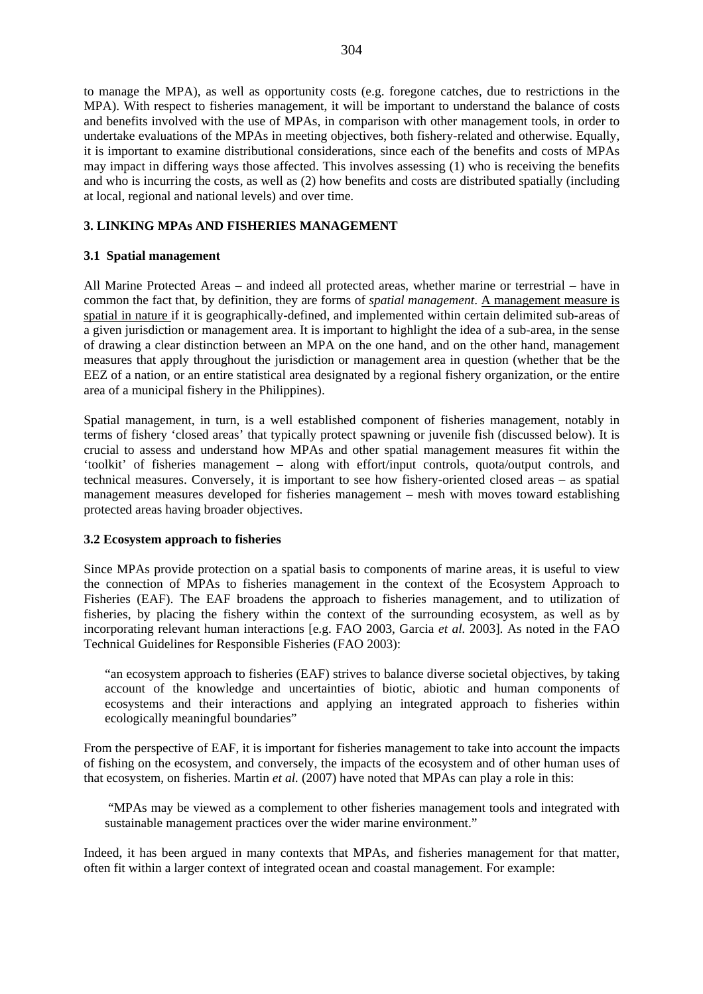to manage the MPA), as well as opportunity costs (e.g. foregone catches, due to restrictions in the MPA). With respect to fisheries management, it will be important to understand the balance of costs and benefits involved with the use of MPAs, in comparison with other management tools, in order to undertake evaluations of the MPAs in meeting objectives, both fishery-related and otherwise. Equally, it is important to examine distributional considerations, since each of the benefits and costs of MPAs may impact in differing ways those affected. This involves assessing (1) who is receiving the benefits and who is incurring the costs, as well as (2) how benefits and costs are distributed spatially (including at local, regional and national levels) and over time.

### **3. LINKING MPAs AND FISHERIES MANAGEMENT**

### **3.1 Spatial management**

All Marine Protected Areas – and indeed all protected areas, whether marine or terrestrial – have in common the fact that, by definition, they are forms of *spatial management*. A management measure is spatial in nature if it is geographically-defined, and implemented within certain delimited sub-areas of a given jurisdiction or management area. It is important to highlight the idea of a sub-area, in the sense of drawing a clear distinction between an MPA on the one hand, and on the other hand, management measures that apply throughout the jurisdiction or management area in question (whether that be the EEZ of a nation, or an entire statistical area designated by a regional fishery organization, or the entire area of a municipal fishery in the Philippines).

Spatial management, in turn, is a well established component of fisheries management, notably in terms of fishery 'closed areas' that typically protect spawning or juvenile fish (discussed below). It is crucial to assess and understand how MPAs and other spatial management measures fit within the 'toolkit' of fisheries management – along with effort/input controls, quota/output controls, and technical measures. Conversely, it is important to see how fishery-oriented closed areas – as spatial management measures developed for fisheries management – mesh with moves toward establishing protected areas having broader objectives.

### **3.2 Ecosystem approach to fisheries**

Since MPAs provide protection on a spatial basis to components of marine areas, it is useful to view the connection of MPAs to fisheries management in the context of the Ecosystem Approach to Fisheries (EAF). The EAF broadens the approach to fisheries management, and to utilization of fisheries, by placing the fishery within the context of the surrounding ecosystem, as well as by incorporating relevant human interactions [e.g. FAO 2003, Garcia *et al.* 2003]. As noted in the FAO Technical Guidelines for Responsible Fisheries (FAO 2003):

"an ecosystem approach to fisheries (EAF) strives to balance diverse societal objectives, by taking account of the knowledge and uncertainties of biotic, abiotic and human components of ecosystems and their interactions and applying an integrated approach to fisheries within ecologically meaningful boundaries"

From the perspective of EAF, it is important for fisheries management to take into account the impacts of fishing on the ecosystem, and conversely, the impacts of the ecosystem and of other human uses of that ecosystem, on fisheries. Martin *et al.* (2007) have noted that MPAs can play a role in this:

 "MPAs may be viewed as a complement to other fisheries management tools and integrated with sustainable management practices over the wider marine environment."

Indeed, it has been argued in many contexts that MPAs, and fisheries management for that matter, often fit within a larger context of integrated ocean and coastal management. For example: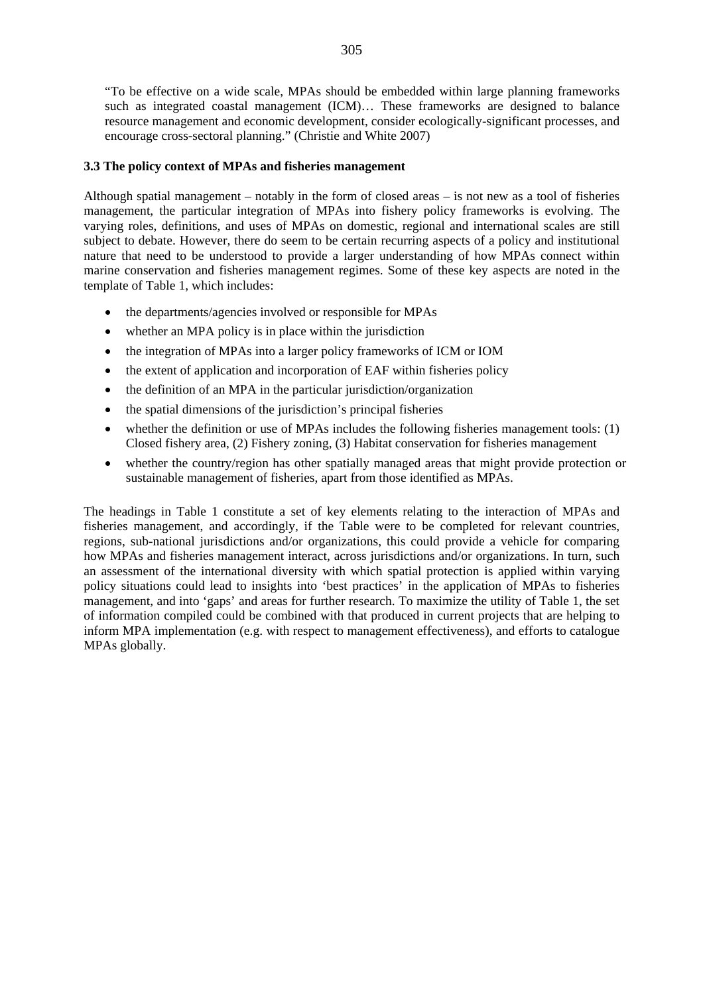"To be effective on a wide scale, MPAs should be embedded within large planning frameworks such as integrated coastal management (ICM)… These frameworks are designed to balance resource management and economic development, consider ecologically-significant processes, and encourage cross-sectoral planning." (Christie and White 2007)

### **3.3 The policy context of MPAs and fisheries management**

Although spatial management – notably in the form of closed areas – is not new as a tool of fisheries management, the particular integration of MPAs into fishery policy frameworks is evolving. The varying roles, definitions, and uses of MPAs on domestic, regional and international scales are still subject to debate. However, there do seem to be certain recurring aspects of a policy and institutional nature that need to be understood to provide a larger understanding of how MPAs connect within marine conservation and fisheries management regimes. Some of these key aspects are noted in the template of Table 1, which includes:

- the departments/agencies involved or responsible for MPAs
- whether an MPA policy is in place within the jurisdiction
- the integration of MPAs into a larger policy frameworks of ICM or IOM
- the extent of application and incorporation of EAF within fisheries policy
- the definition of an MPA in the particular jurisdiction/organization
- the spatial dimensions of the jurisdiction's principal fisheries
- whether the definition or use of MPAs includes the following fisheries management tools: (1) Closed fishery area, (2) Fishery zoning, (3) Habitat conservation for fisheries management
- whether the country/region has other spatially managed areas that might provide protection or sustainable management of fisheries, apart from those identified as MPAs.

The headings in Table 1 constitute a set of key elements relating to the interaction of MPAs and fisheries management, and accordingly, if the Table were to be completed for relevant countries, regions, sub-national jurisdictions and/or organizations, this could provide a vehicle for comparing how MPAs and fisheries management interact, across jurisdictions and/or organizations. In turn, such an assessment of the international diversity with which spatial protection is applied within varying policy situations could lead to insights into 'best practices' in the application of MPAs to fisheries management, and into 'gaps' and areas for further research. To maximize the utility of Table 1, the set of information compiled could be combined with that produced in current projects that are helping to inform MPA implementation (e.g. with respect to management effectiveness), and efforts to catalogue MPAs globally.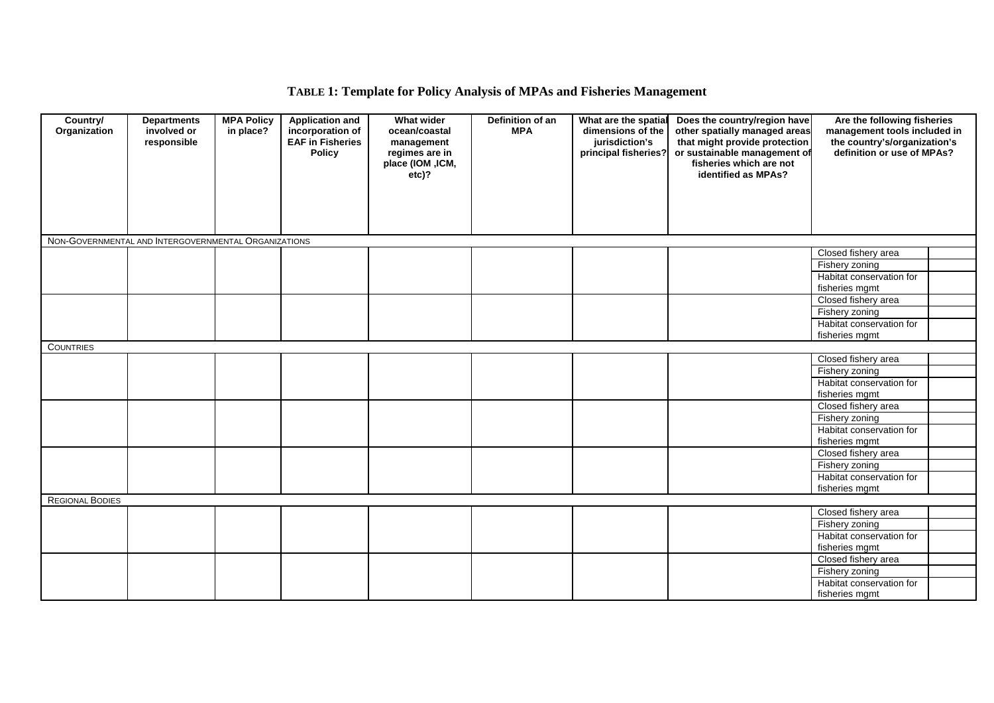# **TABLE 1: Template for Policy Analysis of MPAs and Fisheries Management**

| Country/<br>Organization                             | <b>Departments</b><br>involved or<br>responsible | <b>MPA Policy</b><br>in place? | <b>Application and</b><br>incorporation of<br><b>EAF in Fisheries</b><br><b>Policy</b> | <b>What wider</b><br>ocean/coastal<br>management<br>regimes are in<br>place (IOM ,ICM,<br>$etc)$ ? | Definition of an<br><b>MPA</b> | What are the spatial<br>dimensions of the<br>jurisdiction's<br>principal fisheries? | Does the country/region have<br>other spatially managed areas<br>that might provide protection<br>or sustainable management of<br>fisheries which are not<br>identified as MPAs? | Are the following fisheries<br>management tools included in<br>the country's/organization's<br>definition or use of MPAs? |  |
|------------------------------------------------------|--------------------------------------------------|--------------------------------|----------------------------------------------------------------------------------------|----------------------------------------------------------------------------------------------------|--------------------------------|-------------------------------------------------------------------------------------|----------------------------------------------------------------------------------------------------------------------------------------------------------------------------------|---------------------------------------------------------------------------------------------------------------------------|--|
|                                                      |                                                  |                                |                                                                                        |                                                                                                    |                                |                                                                                     |                                                                                                                                                                                  |                                                                                                                           |  |
| NON-GOVERNMENTAL AND INTERGOVERNMENTAL ORGANIZATIONS |                                                  |                                |                                                                                        |                                                                                                    |                                |                                                                                     |                                                                                                                                                                                  |                                                                                                                           |  |
|                                                      |                                                  |                                |                                                                                        |                                                                                                    |                                |                                                                                     |                                                                                                                                                                                  | Closed fishery area                                                                                                       |  |
|                                                      |                                                  |                                |                                                                                        |                                                                                                    |                                |                                                                                     |                                                                                                                                                                                  | Fishery zoning                                                                                                            |  |
|                                                      |                                                  |                                |                                                                                        |                                                                                                    |                                |                                                                                     |                                                                                                                                                                                  | Habitat conservation for                                                                                                  |  |
|                                                      |                                                  |                                |                                                                                        |                                                                                                    |                                |                                                                                     |                                                                                                                                                                                  | fisheries mgmt                                                                                                            |  |
|                                                      |                                                  |                                |                                                                                        |                                                                                                    |                                |                                                                                     |                                                                                                                                                                                  | Closed fishery area                                                                                                       |  |
|                                                      |                                                  |                                |                                                                                        |                                                                                                    |                                |                                                                                     |                                                                                                                                                                                  | Fishery zoning                                                                                                            |  |
|                                                      |                                                  |                                |                                                                                        |                                                                                                    |                                |                                                                                     |                                                                                                                                                                                  | Habitat conservation for                                                                                                  |  |
|                                                      |                                                  |                                |                                                                                        |                                                                                                    |                                |                                                                                     |                                                                                                                                                                                  | fisheries mgmt                                                                                                            |  |
| <b>COUNTRIES</b>                                     |                                                  |                                |                                                                                        |                                                                                                    |                                |                                                                                     |                                                                                                                                                                                  |                                                                                                                           |  |
|                                                      |                                                  |                                |                                                                                        |                                                                                                    |                                |                                                                                     |                                                                                                                                                                                  | Closed fishery area                                                                                                       |  |
|                                                      |                                                  |                                |                                                                                        |                                                                                                    |                                |                                                                                     |                                                                                                                                                                                  | Fishery zoning                                                                                                            |  |
|                                                      |                                                  |                                |                                                                                        |                                                                                                    |                                |                                                                                     |                                                                                                                                                                                  | Habitat conservation for<br>fisheries mgmt                                                                                |  |
|                                                      |                                                  |                                |                                                                                        |                                                                                                    |                                |                                                                                     |                                                                                                                                                                                  | Closed fishery area                                                                                                       |  |
|                                                      |                                                  |                                |                                                                                        |                                                                                                    |                                |                                                                                     |                                                                                                                                                                                  | Fishery zoning                                                                                                            |  |
|                                                      |                                                  |                                |                                                                                        |                                                                                                    |                                |                                                                                     |                                                                                                                                                                                  | Habitat conservation for                                                                                                  |  |
|                                                      |                                                  |                                |                                                                                        |                                                                                                    |                                |                                                                                     |                                                                                                                                                                                  | fisheries mgmt                                                                                                            |  |
|                                                      |                                                  |                                |                                                                                        |                                                                                                    |                                |                                                                                     |                                                                                                                                                                                  | Closed fishery area                                                                                                       |  |
|                                                      |                                                  |                                |                                                                                        |                                                                                                    |                                |                                                                                     |                                                                                                                                                                                  | Fishery zoning                                                                                                            |  |
|                                                      |                                                  |                                |                                                                                        |                                                                                                    |                                |                                                                                     |                                                                                                                                                                                  | Habitat conservation for                                                                                                  |  |
|                                                      |                                                  |                                |                                                                                        |                                                                                                    |                                |                                                                                     |                                                                                                                                                                                  | fisheries mgmt                                                                                                            |  |
| <b>REGIONAL BODIES</b>                               |                                                  |                                |                                                                                        |                                                                                                    |                                |                                                                                     |                                                                                                                                                                                  |                                                                                                                           |  |
|                                                      |                                                  |                                |                                                                                        |                                                                                                    |                                |                                                                                     |                                                                                                                                                                                  | Closed fishery area                                                                                                       |  |
|                                                      |                                                  |                                |                                                                                        |                                                                                                    |                                |                                                                                     |                                                                                                                                                                                  | Fishery zoning                                                                                                            |  |
|                                                      |                                                  |                                |                                                                                        |                                                                                                    |                                |                                                                                     |                                                                                                                                                                                  | Habitat conservation for                                                                                                  |  |
|                                                      |                                                  |                                |                                                                                        |                                                                                                    |                                |                                                                                     |                                                                                                                                                                                  | fisheries mgmt                                                                                                            |  |
|                                                      |                                                  |                                |                                                                                        |                                                                                                    |                                |                                                                                     |                                                                                                                                                                                  | Closed fishery area                                                                                                       |  |
|                                                      |                                                  |                                |                                                                                        |                                                                                                    |                                |                                                                                     |                                                                                                                                                                                  | Fishery zoning                                                                                                            |  |
|                                                      |                                                  |                                |                                                                                        |                                                                                                    |                                |                                                                                     |                                                                                                                                                                                  | Habitat conservation for<br>fisheries mgmt                                                                                |  |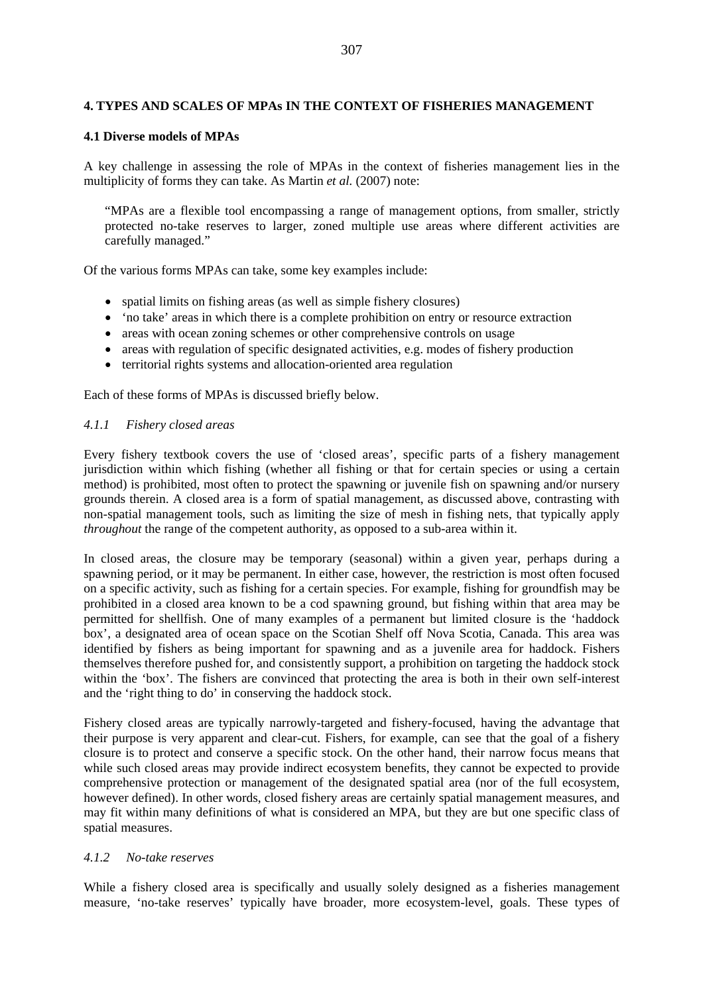### **4. TYPES AND SCALES OF MPAs IN THE CONTEXT OF FISHERIES MANAGEMENT**

### **4.1 Diverse models of MPAs**

A key challenge in assessing the role of MPAs in the context of fisheries management lies in the multiplicity of forms they can take. As Martin *et al.* (2007) note:

"MPAs are a flexible tool encompassing a range of management options, from smaller, strictly protected no-take reserves to larger, zoned multiple use areas where different activities are carefully managed."

Of the various forms MPAs can take, some key examples include:

- spatial limits on fishing areas (as well as simple fishery closures)
- 'no take' areas in which there is a complete prohibition on entry or resource extraction
- areas with ocean zoning schemes or other comprehensive controls on usage
- areas with regulation of specific designated activities, e.g. modes of fishery production
- territorial rights systems and allocation-oriented area regulation

Each of these forms of MPAs is discussed briefly below.

### *4.1.1 Fishery closed areas*

Every fishery textbook covers the use of 'closed areas', specific parts of a fishery management jurisdiction within which fishing (whether all fishing or that for certain species or using a certain method) is prohibited, most often to protect the spawning or juvenile fish on spawning and/or nursery grounds therein. A closed area is a form of spatial management, as discussed above, contrasting with non-spatial management tools, such as limiting the size of mesh in fishing nets, that typically apply *throughout* the range of the competent authority, as opposed to a sub-area within it.

In closed areas, the closure may be temporary (seasonal) within a given year, perhaps during a spawning period, or it may be permanent. In either case, however, the restriction is most often focused on a specific activity, such as fishing for a certain species. For example, fishing for groundfish may be prohibited in a closed area known to be a cod spawning ground, but fishing within that area may be permitted for shellfish. One of many examples of a permanent but limited closure is the 'haddock box', a designated area of ocean space on the Scotian Shelf off Nova Scotia, Canada. This area was identified by fishers as being important for spawning and as a juvenile area for haddock. Fishers themselves therefore pushed for, and consistently support, a prohibition on targeting the haddock stock within the 'box'. The fishers are convinced that protecting the area is both in their own self-interest and the 'right thing to do' in conserving the haddock stock.

Fishery closed areas are typically narrowly-targeted and fishery-focused, having the advantage that their purpose is very apparent and clear-cut. Fishers, for example, can see that the goal of a fishery closure is to protect and conserve a specific stock. On the other hand, their narrow focus means that while such closed areas may provide indirect ecosystem benefits, they cannot be expected to provide comprehensive protection or management of the designated spatial area (nor of the full ecosystem, however defined). In other words, closed fishery areas are certainly spatial management measures, and may fit within many definitions of what is considered an MPA, but they are but one specific class of spatial measures.

### *4.1.2 No-take reserves*

While a fishery closed area is specifically and usually solely designed as a fisheries management measure, 'no-take reserves' typically have broader, more ecosystem-level, goals. These types of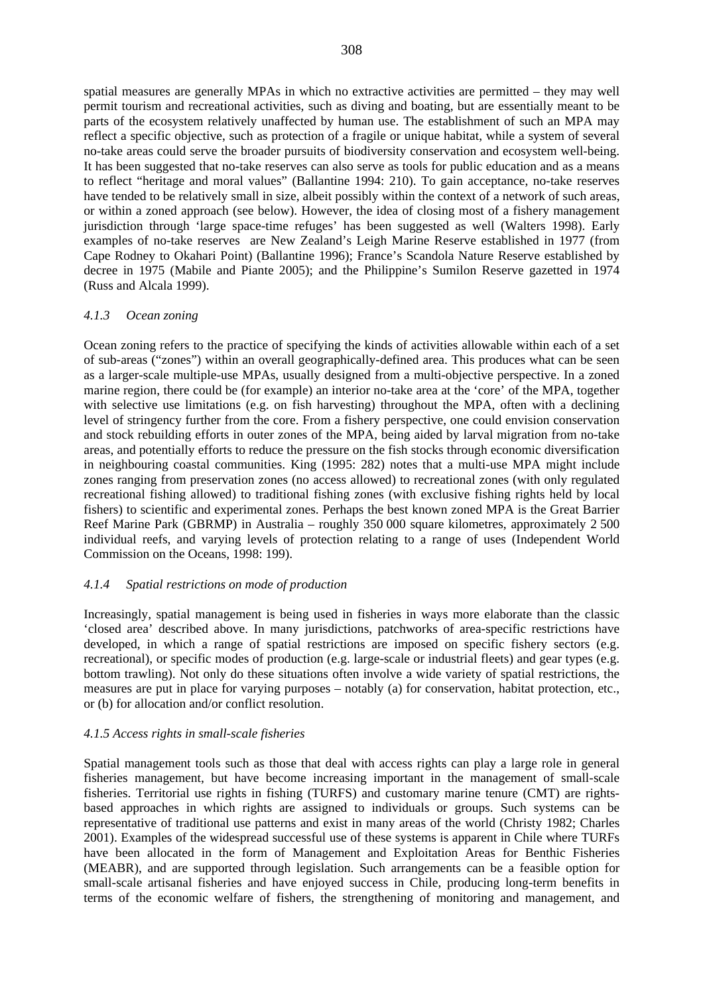spatial measures are generally MPAs in which no extractive activities are permitted – they may well permit tourism and recreational activities, such as diving and boating, but are essentially meant to be parts of the ecosystem relatively unaffected by human use. The establishment of such an MPA may reflect a specific objective, such as protection of a fragile or unique habitat, while a system of several no-take areas could serve the broader pursuits of biodiversity conservation and ecosystem well-being. It has been suggested that no-take reserves can also serve as tools for public education and as a means to reflect "heritage and moral values" (Ballantine 1994: 210). To gain acceptance, no-take reserves have tended to be relatively small in size, albeit possibly within the context of a network of such areas, or within a zoned approach (see below). However, the idea of closing most of a fishery management jurisdiction through 'large space-time refuges' has been suggested as well (Walters 1998). Early examples of no-take reserves are New Zealand's Leigh Marine Reserve established in 1977 (from Cape Rodney to Okahari Point) (Ballantine 1996); France's Scandola Nature Reserve established by decree in 1975 (Mabile and Piante 2005); and the Philippine's Sumilon Reserve gazetted in 1974 (Russ and Alcala 1999).

#### *4.1.3 Ocean zoning*

Ocean zoning refers to the practice of specifying the kinds of activities allowable within each of a set of sub-areas ("zones") within an overall geographically-defined area. This produces what can be seen as a larger-scale multiple-use MPAs, usually designed from a multi-objective perspective. In a zoned marine region, there could be (for example) an interior no-take area at the 'core' of the MPA, together with selective use limitations (e.g. on fish harvesting) throughout the MPA, often with a declining level of stringency further from the core. From a fishery perspective, one could envision conservation and stock rebuilding efforts in outer zones of the MPA, being aided by larval migration from no-take areas, and potentially efforts to reduce the pressure on the fish stocks through economic diversification in neighbouring coastal communities. King (1995: 282) notes that a multi-use MPA might include zones ranging from preservation zones (no access allowed) to recreational zones (with only regulated recreational fishing allowed) to traditional fishing zones (with exclusive fishing rights held by local fishers) to scientific and experimental zones. Perhaps the best known zoned MPA is the Great Barrier Reef Marine Park (GBRMP) in Australia – roughly 350 000 square kilometres, approximately 2 500 individual reefs, and varying levels of protection relating to a range of uses (Independent World Commission on the Oceans, 1998: 199).

#### *4.1.4 Spatial restrictions on mode of production*

Increasingly, spatial management is being used in fisheries in ways more elaborate than the classic 'closed area' described above. In many jurisdictions, patchworks of area-specific restrictions have developed, in which a range of spatial restrictions are imposed on specific fishery sectors (e.g. recreational), or specific modes of production (e.g. large-scale or industrial fleets) and gear types (e.g. bottom trawling). Not only do these situations often involve a wide variety of spatial restrictions, the measures are put in place for varying purposes – notably (a) for conservation, habitat protection, etc., or (b) for allocation and/or conflict resolution.

### *4.1.5 Access rights in small-scale fisheries*

Spatial management tools such as those that deal with access rights can play a large role in general fisheries management, but have become increasing important in the management of small-scale fisheries. Territorial use rights in fishing (TURFS) and customary marine tenure (CMT) are rightsbased approaches in which rights are assigned to individuals or groups. Such systems can be representative of traditional use patterns and exist in many areas of the world (Christy 1982; Charles 2001). Examples of the widespread successful use of these systems is apparent in Chile where TURFs have been allocated in the form of Management and Exploitation Areas for Benthic Fisheries (MEABR), and are supported through legislation. Such arrangements can be a feasible option for small-scale artisanal fisheries and have enjoyed success in Chile, producing long-term benefits in terms of the economic welfare of fishers, the strengthening of monitoring and management, and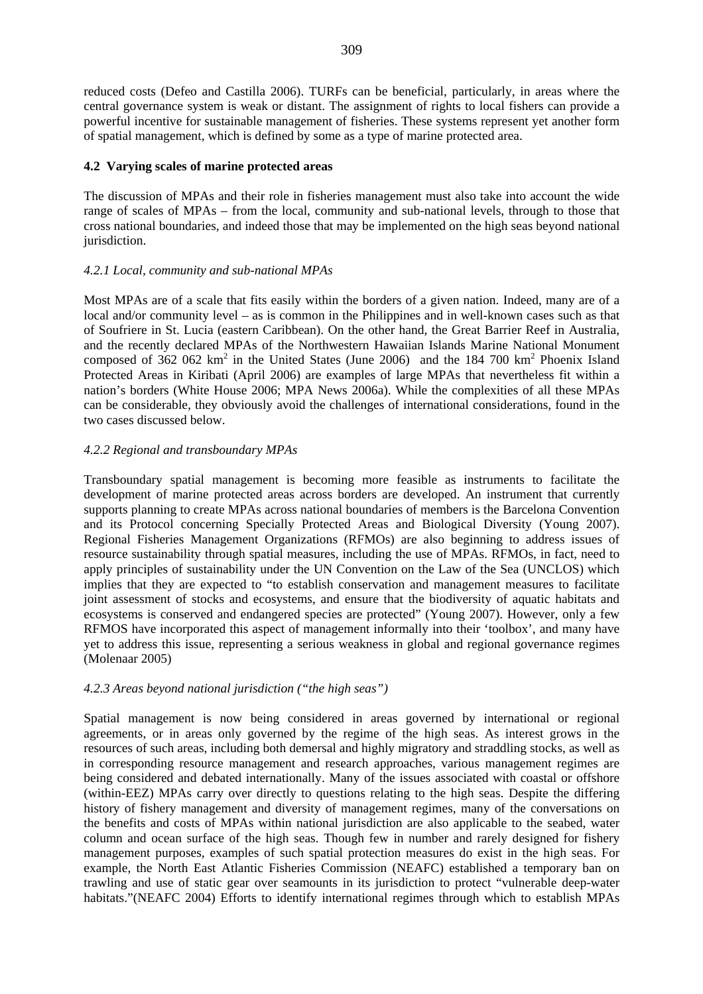reduced costs (Defeo and Castilla 2006). TURFs can be beneficial, particularly, in areas where the central governance system is weak or distant. The assignment of rights to local fishers can provide a powerful incentive for sustainable management of fisheries. These systems represent yet another form of spatial management, which is defined by some as a type of marine protected area.

### **4.2 Varying scales of marine protected areas**

The discussion of MPAs and their role in fisheries management must also take into account the wide range of scales of MPAs – from the local, community and sub-national levels, through to those that cross national boundaries, and indeed those that may be implemented on the high seas beyond national jurisdiction.

### *4.2.1 Local, community and sub-national MPAs*

Most MPAs are of a scale that fits easily within the borders of a given nation. Indeed, many are of a local and/or community level – as is common in the Philippines and in well-known cases such as that of Soufriere in St. Lucia (eastern Caribbean). On the other hand, the Great Barrier Reef in Australia, and the recently declared MPAs of the Northwestern Hawaiian Islands Marine National Monument composed of  $362062 \text{ km}^2$  in the United States (June 2006) and the 184 700 km<sup>2</sup> Phoenix Island Protected Areas in Kiribati (April 2006) are examples of large MPAs that nevertheless fit within a nation's borders (White House 2006; MPA News 2006a). While the complexities of all these MPAs can be considerable, they obviously avoid the challenges of international considerations, found in the two cases discussed below.

### *4.2.2 Regional and transboundary MPAs*

Transboundary spatial management is becoming more feasible as instruments to facilitate the development of marine protected areas across borders are developed. An instrument that currently supports planning to create MPAs across national boundaries of members is the Barcelona Convention and its Protocol concerning Specially Protected Areas and Biological Diversity (Young 2007). Regional Fisheries Management Organizations (RFMOs) are also beginning to address issues of resource sustainability through spatial measures, including the use of MPAs. RFMOs, in fact, need to apply principles of sustainability under the UN Convention on the Law of the Sea (UNCLOS) which implies that they are expected to "to establish conservation and management measures to facilitate joint assessment of stocks and ecosystems, and ensure that the biodiversity of aquatic habitats and ecosystems is conserved and endangered species are protected" (Young 2007). However, only a few RFMOS have incorporated this aspect of management informally into their 'toolbox', and many have yet to address this issue, representing a serious weakness in global and regional governance regimes (Molenaar 2005)

### *4.2.3 Areas beyond national jurisdiction ("the high seas")*

Spatial management is now being considered in areas governed by international or regional agreements, or in areas only governed by the regime of the high seas. As interest grows in the resources of such areas, including both demersal and highly migratory and straddling stocks, as well as in corresponding resource management and research approaches, various management regimes are being considered and debated internationally. Many of the issues associated with coastal or offshore (within-EEZ) MPAs carry over directly to questions relating to the high seas. Despite the differing history of fishery management and diversity of management regimes, many of the conversations on the benefits and costs of MPAs within national jurisdiction are also applicable to the seabed, water column and ocean surface of the high seas. Though few in number and rarely designed for fishery management purposes, examples of such spatial protection measures do exist in the high seas. For example, the North East Atlantic Fisheries Commission (NEAFC) established a temporary ban on trawling and use of static gear over seamounts in its jurisdiction to protect "vulnerable deep-water habitats."(NEAFC 2004) Efforts to identify international regimes through which to establish MPAs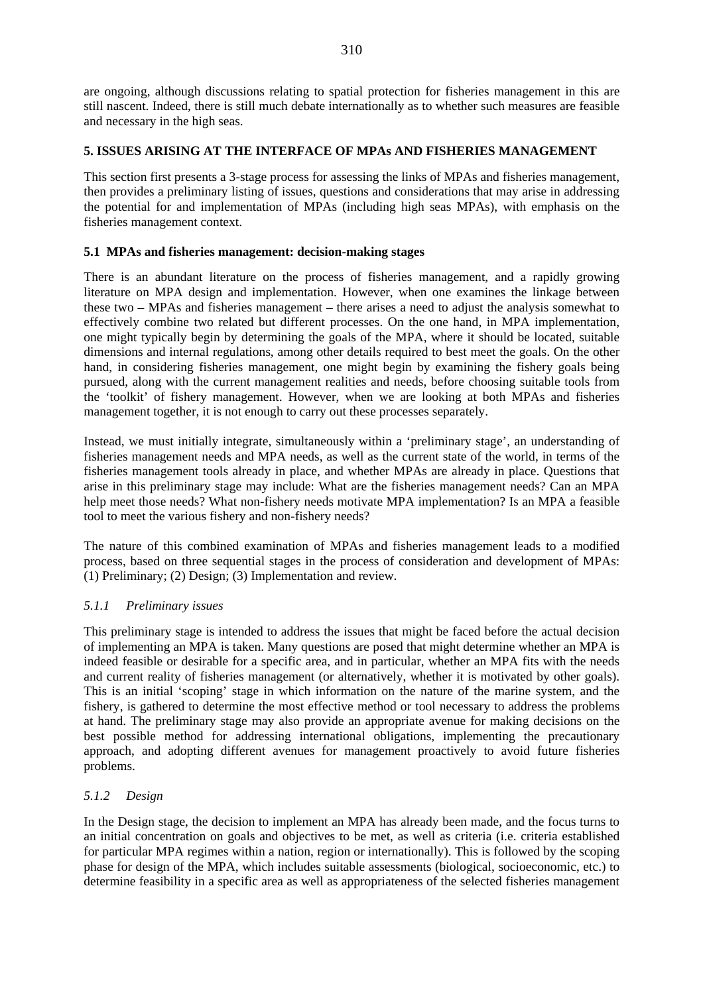are ongoing, although discussions relating to spatial protection for fisheries management in this are still nascent. Indeed, there is still much debate internationally as to whether such measures are feasible and necessary in the high seas.

### **5. ISSUES ARISING AT THE INTERFACE OF MPAs AND FISHERIES MANAGEMENT**

This section first presents a 3-stage process for assessing the links of MPAs and fisheries management, then provides a preliminary listing of issues, questions and considerations that may arise in addressing the potential for and implementation of MPAs (including high seas MPAs), with emphasis on the fisheries management context.

### **5.1 MPAs and fisheries management: decision-making stages**

There is an abundant literature on the process of fisheries management, and a rapidly growing literature on MPA design and implementation. However, when one examines the linkage between these two – MPAs and fisheries management – there arises a need to adjust the analysis somewhat to effectively combine two related but different processes. On the one hand, in MPA implementation, one might typically begin by determining the goals of the MPA, where it should be located, suitable dimensions and internal regulations, among other details required to best meet the goals. On the other hand, in considering fisheries management, one might begin by examining the fishery goals being pursued, along with the current management realities and needs, before choosing suitable tools from the 'toolkit' of fishery management. However, when we are looking at both MPAs and fisheries management together, it is not enough to carry out these processes separately.

Instead, we must initially integrate, simultaneously within a 'preliminary stage', an understanding of fisheries management needs and MPA needs, as well as the current state of the world, in terms of the fisheries management tools already in place, and whether MPAs are already in place. Questions that arise in this preliminary stage may include: What are the fisheries management needs? Can an MPA help meet those needs? What non-fishery needs motivate MPA implementation? Is an MPA a feasible tool to meet the various fishery and non-fishery needs?

The nature of this combined examination of MPAs and fisheries management leads to a modified process, based on three sequential stages in the process of consideration and development of MPAs: (1) Preliminary; (2) Design; (3) Implementation and review.

### *5.1.1 Preliminary issues*

This preliminary stage is intended to address the issues that might be faced before the actual decision of implementing an MPA is taken. Many questions are posed that might determine whether an MPA is indeed feasible or desirable for a specific area, and in particular, whether an MPA fits with the needs and current reality of fisheries management (or alternatively, whether it is motivated by other goals). This is an initial 'scoping' stage in which information on the nature of the marine system, and the fishery, is gathered to determine the most effective method or tool necessary to address the problems at hand. The preliminary stage may also provide an appropriate avenue for making decisions on the best possible method for addressing international obligations, implementing the precautionary approach, and adopting different avenues for management proactively to avoid future fisheries problems.

### *5.1.2 Design*

In the Design stage, the decision to implement an MPA has already been made, and the focus turns to an initial concentration on goals and objectives to be met, as well as criteria (i.e. criteria established for particular MPA regimes within a nation, region or internationally). This is followed by the scoping phase for design of the MPA, which includes suitable assessments (biological, socioeconomic, etc.) to determine feasibility in a specific area as well as appropriateness of the selected fisheries management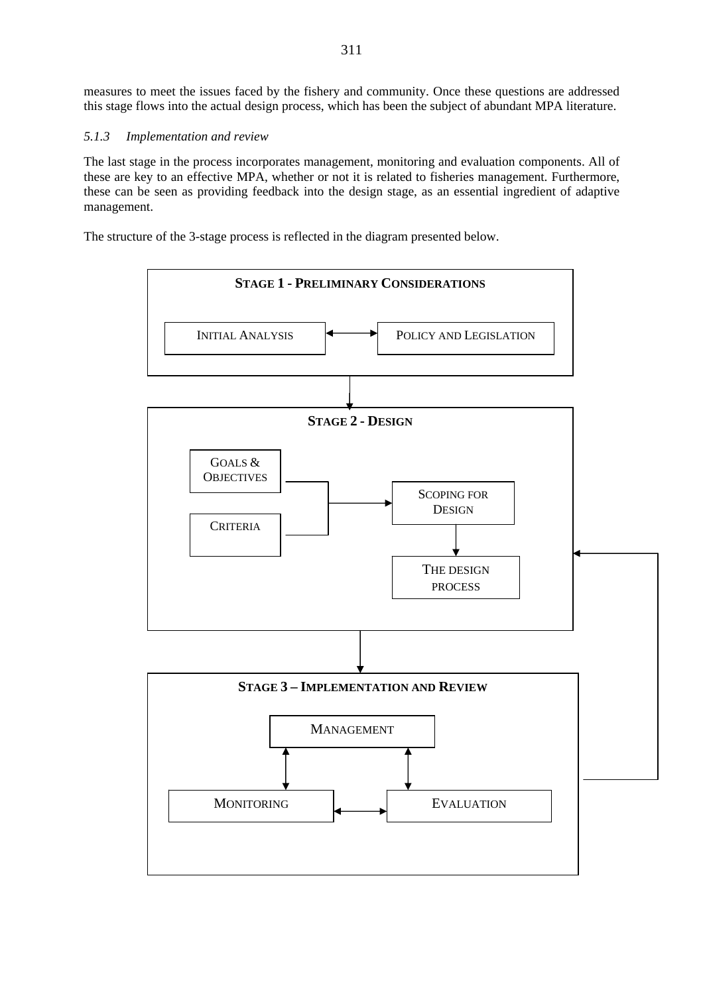measures to meet the issues faced by the fishery and community. Once these questions are addressed this stage flows into the actual design process, which has been the subject of abundant MPA literature.

### *5.1.3 Implementation and review*

The last stage in the process incorporates management, monitoring and evaluation components. All of these are key to an effective MPA, whether or not it is related to fisheries management. Furthermore, these can be seen as providing feedback into the design stage, as an essential ingredient of adaptive management.

The structure of the 3-stage process is reflected in the diagram presented below.

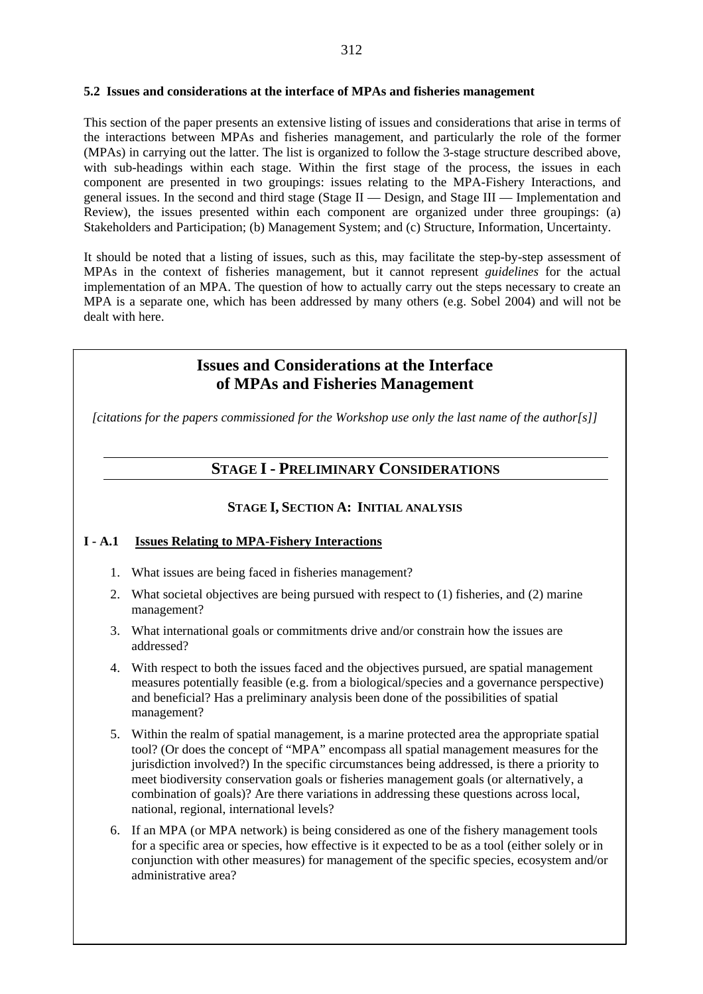#### **5.2 Issues and considerations at the interface of MPAs and fisheries management**

This section of the paper presents an extensive listing of issues and considerations that arise in terms of the interactions between MPAs and fisheries management, and particularly the role of the former (MPAs) in carrying out the latter. The list is organized to follow the 3-stage structure described above, with sub-headings within each stage. Within the first stage of the process, the issues in each component are presented in two groupings: issues relating to the MPA-Fishery Interactions, and general issues. In the second and third stage (Stage II — Design, and Stage III — Implementation and Review), the issues presented within each component are organized under three groupings: (a) Stakeholders and Participation; (b) Management System; and (c) Structure, Information, Uncertainty.

It should be noted that a listing of issues, such as this, may facilitate the step-by-step assessment of MPAs in the context of fisheries management, but it cannot represent *guidelines* for the actual implementation of an MPA. The question of how to actually carry out the steps necessary to create an MPA is a separate one, which has been addressed by many others (e.g. Sobel 2004) and will not be dealt with here.

## **Issues and Considerations at the Interface of MPAs and Fisheries Management**

*[citations for the papers commissioned for the Workshop use only the last name of the author[s]]* 

# **STAGE I - PRELIMINARY CONSIDERATIONS**

### **STAGE I, SECTION A: INITIAL ANALYSIS**

### **I - A.1 Issues Relating to MPA-Fishery Interactions**

- 1. What issues are being faced in fisheries management?
- 2. What societal objectives are being pursued with respect to (1) fisheries, and (2) marine management?
- 3. What international goals or commitments drive and/or constrain how the issues are addressed?
- 4. With respect to both the issues faced and the objectives pursued, are spatial management measures potentially feasible (e.g. from a biological/species and a governance perspective) and beneficial? Has a preliminary analysis been done of the possibilities of spatial management?
- 5. Within the realm of spatial management, is a marine protected area the appropriate spatial tool? (Or does the concept of "MPA" encompass all spatial management measures for the jurisdiction involved?) In the specific circumstances being addressed, is there a priority to meet biodiversity conservation goals or fisheries management goals (or alternatively, a combination of goals)? Are there variations in addressing these questions across local, national, regional, international levels?
- 6. If an MPA (or MPA network) is being considered as one of the fishery management tools for a specific area or species, how effective is it expected to be as a tool (either solely or in conjunction with other measures) for management of the specific species, ecosystem and/or administrative area?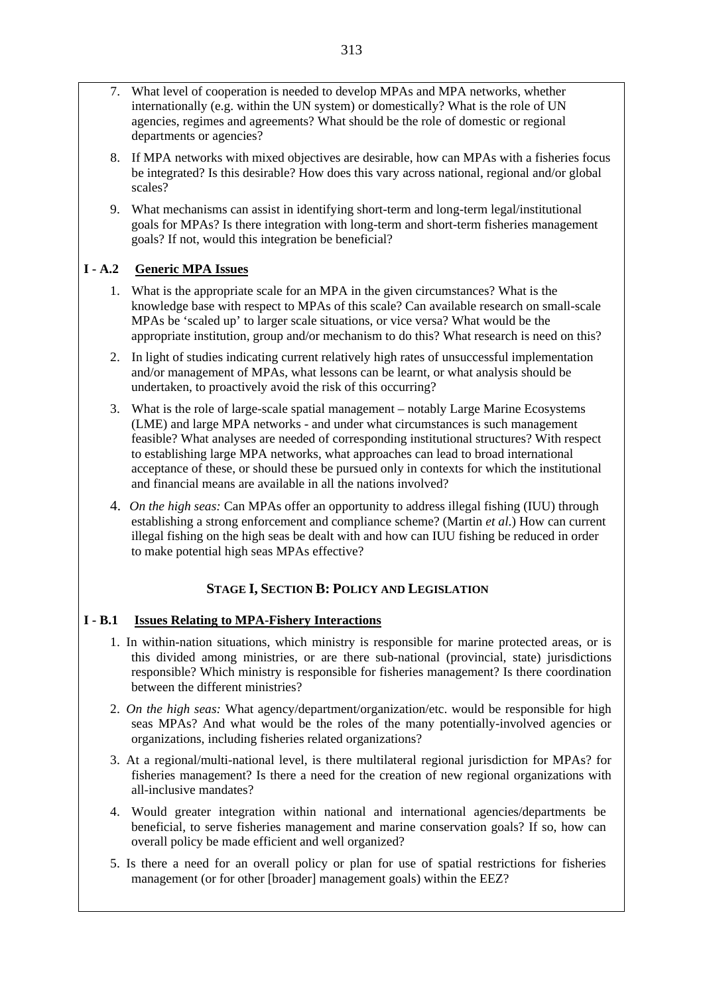- 7. What level of cooperation is needed to develop MPAs and MPA networks, whether internationally (e.g. within the UN system) or domestically? What is the role of UN agencies, regimes and agreements? What should be the role of domestic or regional departments or agencies?
- 8. If MPA networks with mixed objectives are desirable, how can MPAs with a fisheries focus be integrated? Is this desirable? How does this vary across national, regional and/or global scales?
- 9. What mechanisms can assist in identifying short-term and long-term legal/institutional goals for MPAs? Is there integration with long-term and short-term fisheries management goals? If not, would this integration be beneficial?

### **I - A.2 Generic MPA Issues**

- 1. What is the appropriate scale for an MPA in the given circumstances? What is the knowledge base with respect to MPAs of this scale? Can available research on small-scale MPAs be 'scaled up' to larger scale situations, or vice versa? What would be the appropriate institution, group and/or mechanism to do this? What research is need on this?
- 2. In light of studies indicating current relatively high rates of unsuccessful implementation and/or management of MPAs, what lessons can be learnt, or what analysis should be undertaken, to proactively avoid the risk of this occurring?
- 3. What is the role of large-scale spatial management notably Large Marine Ecosystems (LME) and large MPA networks - and under what circumstances is such management feasible? What analyses are needed of corresponding institutional structures? With respect to establishing large MPA networks, what approaches can lead to broad international acceptance of these, or should these be pursued only in contexts for which the institutional and financial means are available in all the nations involved?
- 4. *On the high seas:* Can MPAs offer an opportunity to address illegal fishing (IUU) through establishing a strong enforcement and compliance scheme? (Martin *et al*.) How can current illegal fishing on the high seas be dealt with and how can IUU fishing be reduced in order to make potential high seas MPAs effective?

### **STAGE I, SECTION B: POLICY AND LEGISLATION**

### **I - B.1 Issues Relating to MPA-Fishery Interactions**

- 1. In within-nation situations, which ministry is responsible for marine protected areas, or is this divided among ministries, or are there sub-national (provincial, state) jurisdictions responsible? Which ministry is responsible for fisheries management? Is there coordination between the different ministries?
- 2. *On the high seas:* What agency/department/organization/etc. would be responsible for high seas MPAs? And what would be the roles of the many potentially-involved agencies or organizations, including fisheries related organizations?
- 3. At a regional/multi-national level, is there multilateral regional jurisdiction for MPAs? for fisheries management? Is there a need for the creation of new regional organizations with all-inclusive mandates?
- 4. Would greater integration within national and international agencies/departments be beneficial, to serve fisheries management and marine conservation goals? If so, how can overall policy be made efficient and well organized?
- 5. Is there a need for an overall policy or plan for use of spatial restrictions for fisheries management (or for other [broader] management goals) within the EEZ?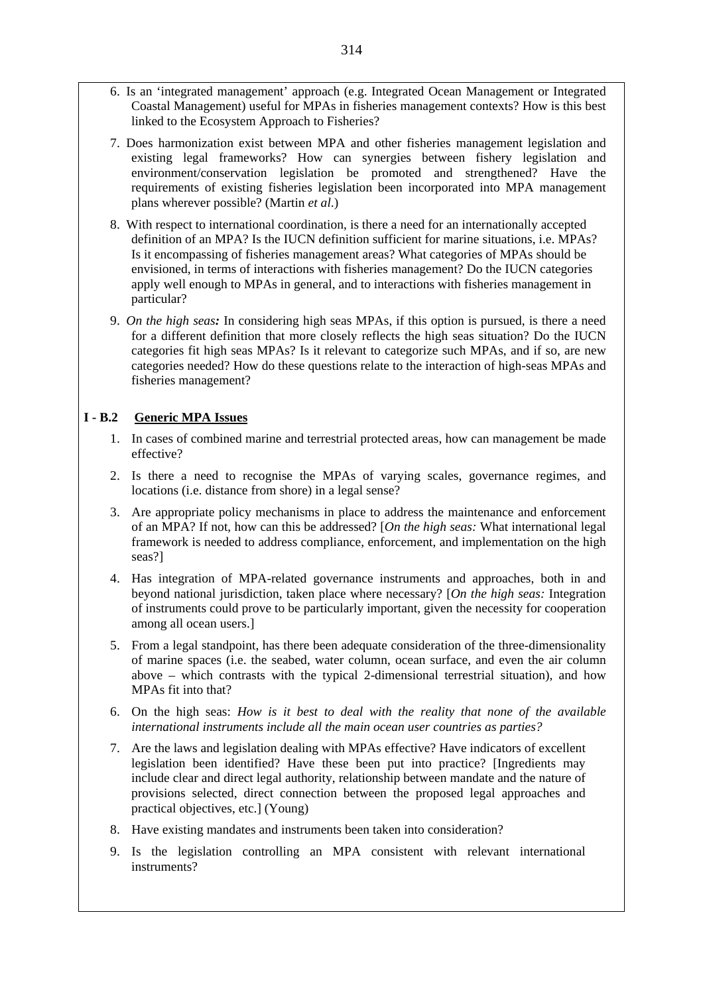- 6. Is an 'integrated management' approach (e.g. Integrated Ocean Management or Integrated Coastal Management) useful for MPAs in fisheries management contexts? How is this best linked to the Ecosystem Approach to Fisheries?
- 7. Does harmonization exist between MPA and other fisheries management legislation and existing legal frameworks? How can synergies between fishery legislation and environment/conservation legislation be promoted and strengthened? Have the requirements of existing fisheries legislation been incorporated into MPA management plans wherever possible? (Martin *et al*.)
- 8. With respect to international coordination, is there a need for an internationally accepted definition of an MPA? Is the IUCN definition sufficient for marine situations, i.e. MPAs? Is it encompassing of fisheries management areas? What categories of MPAs should be envisioned, in terms of interactions with fisheries management? Do the IUCN categories apply well enough to MPAs in general, and to interactions with fisheries management in particular?
- 9. *On the high seas:* In considering high seas MPAs, if this option is pursued, is there a need for a different definition that more closely reflects the high seas situation? Do the IUCN categories fit high seas MPAs? Is it relevant to categorize such MPAs, and if so, are new categories needed? How do these questions relate to the interaction of high-seas MPAs and fisheries management?

### **I - B.2 Generic MPA Issues**

- 1. In cases of combined marine and terrestrial protected areas, how can management be made effective?
- 2. Is there a need to recognise the MPAs of varying scales, governance regimes, and locations (i.e. distance from shore) in a legal sense?
- 3. Are appropriate policy mechanisms in place to address the maintenance and enforcement of an MPA? If not, how can this be addressed? [*On the high seas:* What international legal framework is needed to address compliance, enforcement, and implementation on the high seas?]
- 4. Has integration of MPA-related governance instruments and approaches, both in and beyond national jurisdiction, taken place where necessary? [*On the high seas:* Integration of instruments could prove to be particularly important, given the necessity for cooperation among all ocean users.]
- 5. From a legal standpoint, has there been adequate consideration of the three-dimensionality of marine spaces (i.e. the seabed, water column, ocean surface, and even the air column above – which contrasts with the typical 2-dimensional terrestrial situation), and how MPAs fit into that?
- 6. On the high seas: *How is it best to deal with the reality that none of the available international instruments include all the main ocean user countries as parties?*
- 7. Are the laws and legislation dealing with MPAs effective? Have indicators of excellent legislation been identified? Have these been put into practice? [Ingredients may include clear and direct legal authority, relationship between mandate and the nature of provisions selected, direct connection between the proposed legal approaches and practical objectives, etc.] (Young)
- 8. Have existing mandates and instruments been taken into consideration?
- 9. Is the legislation controlling an MPA consistent with relevant international instruments?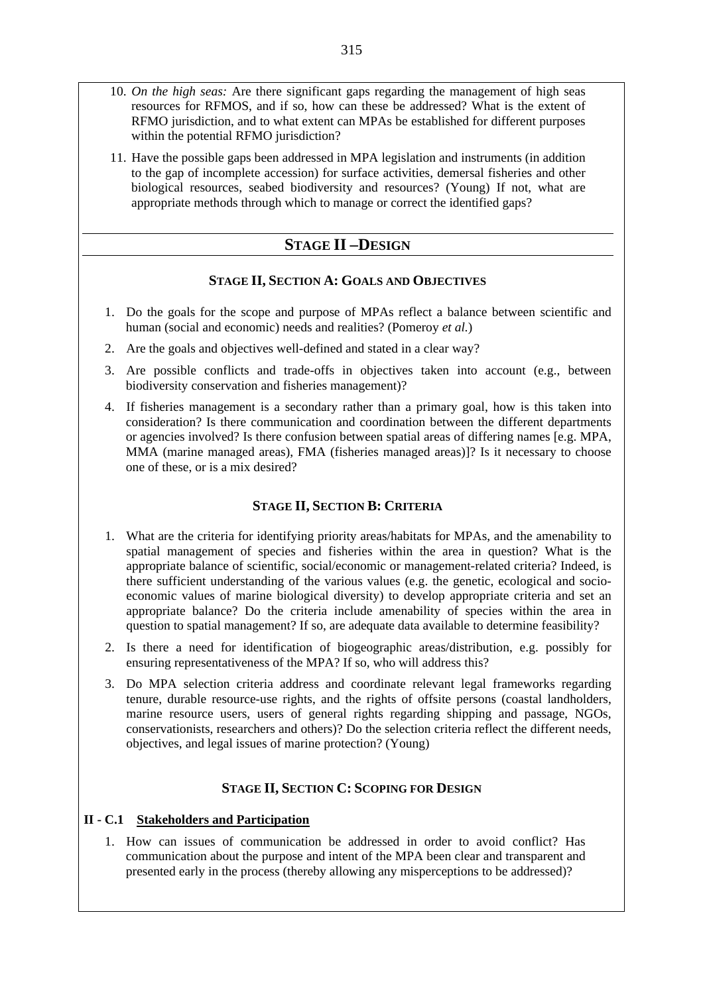- 10. *On the high seas:* Are there significant gaps regarding the management of high seas resources for RFMOS, and if so, how can these be addressed? What is the extent of RFMO jurisdiction, and to what extent can MPAs be established for different purposes within the potential RFMO jurisdiction?
- 11. Have the possible gaps been addressed in MPA legislation and instruments (in addition to the gap of incomplete accession) for surface activities, demersal fisheries and other biological resources, seabed biodiversity and resources? (Young) If not, what are appropriate methods through which to manage or correct the identified gaps?

### **STAGE II –DESIGN**

### **STAGE II, SECTION A: GOALS AND OBJECTIVES**

- 1. Do the goals for the scope and purpose of MPAs reflect a balance between scientific and human (social and economic) needs and realities? (Pomeroy *et al.*)
- 2. Are the goals and objectives well-defined and stated in a clear way?
- 3. Are possible conflicts and trade-offs in objectives taken into account (e.g., between biodiversity conservation and fisheries management)?
- 4. If fisheries management is a secondary rather than a primary goal, how is this taken into consideration? Is there communication and coordination between the different departments or agencies involved? Is there confusion between spatial areas of differing names [e.g. MPA, MMA (marine managed areas), FMA (fisheries managed areas)]? Is it necessary to choose one of these, or is a mix desired?

### **STAGE II, SECTION B: CRITERIA**

- 1. What are the criteria for identifying priority areas/habitats for MPAs, and the amenability to spatial management of species and fisheries within the area in question? What is the appropriate balance of scientific, social/economic or management-related criteria? Indeed, is there sufficient understanding of the various values (e.g. the genetic, ecological and socioeconomic values of marine biological diversity) to develop appropriate criteria and set an appropriate balance? Do the criteria include amenability of species within the area in question to spatial management? If so, are adequate data available to determine feasibility?
- 2. Is there a need for identification of biogeographic areas/distribution, e.g. possibly for ensuring representativeness of the MPA? If so, who will address this?
- 3. Do MPA selection criteria address and coordinate relevant legal frameworks regarding tenure, durable resource-use rights, and the rights of offsite persons (coastal landholders, marine resource users, users of general rights regarding shipping and passage, NGOs, conservationists, researchers and others)? Do the selection criteria reflect the different needs, objectives, and legal issues of marine protection? (Young)

### **STAGE II, SECTION C: SCOPING FOR DESIGN**

### **II - C.1 Stakeholders and Participation**

1. How can issues of communication be addressed in order to avoid conflict? Has communication about the purpose and intent of the MPA been clear and transparent and presented early in the process (thereby allowing any misperceptions to be addressed)?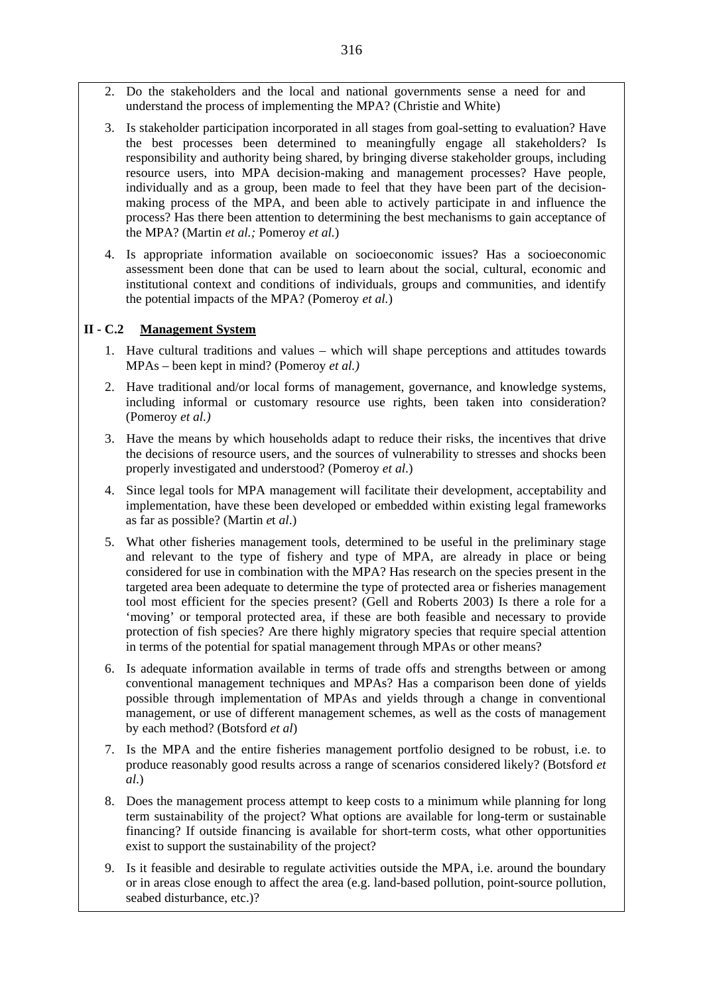- 2. Do the stakeholders and the local and national governments sense a need for and understand the process of implementing the MPA? (Christie and White)
- 3. Is stakeholder participation incorporated in all stages from goal-setting to evaluation? Have the best processes been determined to meaningfully engage all stakeholders? Is responsibility and authority being shared, by bringing diverse stakeholder groups, including resource users, into MPA decision-making and management processes? Have people, individually and as a group, been made to feel that they have been part of the decisionmaking process of the MPA, and been able to actively participate in and influence the process? Has there been attention to determining the best mechanisms to gain acceptance of the MPA? (Martin *et al.;* Pomeroy *et al.*)
- 4. Is appropriate information available on socioeconomic issues? Has a socioeconomic assessment been done that can be used to learn about the social, cultural, economic and institutional context and conditions of individuals, groups and communities, and identify the potential impacts of the MPA? (Pomeroy *et al.*)

### **II - C.2 Management System**

- 1. Have cultural traditions and values which will shape perceptions and attitudes towards MPAs – been kept in mind? (Pomeroy *et al.)*
- 2. Have traditional and/or local forms of management, governance, and knowledge systems, including informal or customary resource use rights, been taken into consideration? (Pomeroy *et al.)*
- 3. Have the means by which households adapt to reduce their risks, the incentives that drive the decisions of resource users, and the sources of vulnerability to stresses and shocks been properly investigated and understood? (Pomeroy *et al*.)
- 4. Since legal tools for MPA management will facilitate their development, acceptability and implementation, have these been developed or embedded within existing legal frameworks as far as possible? (Martin *e*t *al*.)
- 5. What other fisheries management tools, determined to be useful in the preliminary stage and relevant to the type of fishery and type of MPA, are already in place or being considered for use in combination with the MPA? Has research on the species present in the targeted area been adequate to determine the type of protected area or fisheries management tool most efficient for the species present? (Gell and Roberts 2003) Is there a role for a 'moving' or temporal protected area, if these are both feasible and necessary to provide protection of fish species? Are there highly migratory species that require special attention in terms of the potential for spatial management through MPAs or other means?
- 6. Is adequate information available in terms of trade offs and strengths between or among conventional management techniques and MPAs? Has a comparison been done of yields possible through implementation of MPAs and yields through a change in conventional management, or use of different management schemes, as well as the costs of management by each method? (Botsford *et al*)
- 7. Is the MPA and the entire fisheries management portfolio designed to be robust, i.e. to produce reasonably good results across a range of scenarios considered likely? (Botsford *et al*.)
- 8. Does the management process attempt to keep costs to a minimum while planning for long term sustainability of the project? What options are available for long-term or sustainable financing? If outside financing is available for short-term costs, what other opportunities exist to support the sustainability of the project?
- 9. Is it feasible and desirable to regulate activities outside the MPA, i.e. around the boundary or in areas close enough to affect the area (e.g. land-based pollution, point-source pollution, seabed disturbance, etc.)?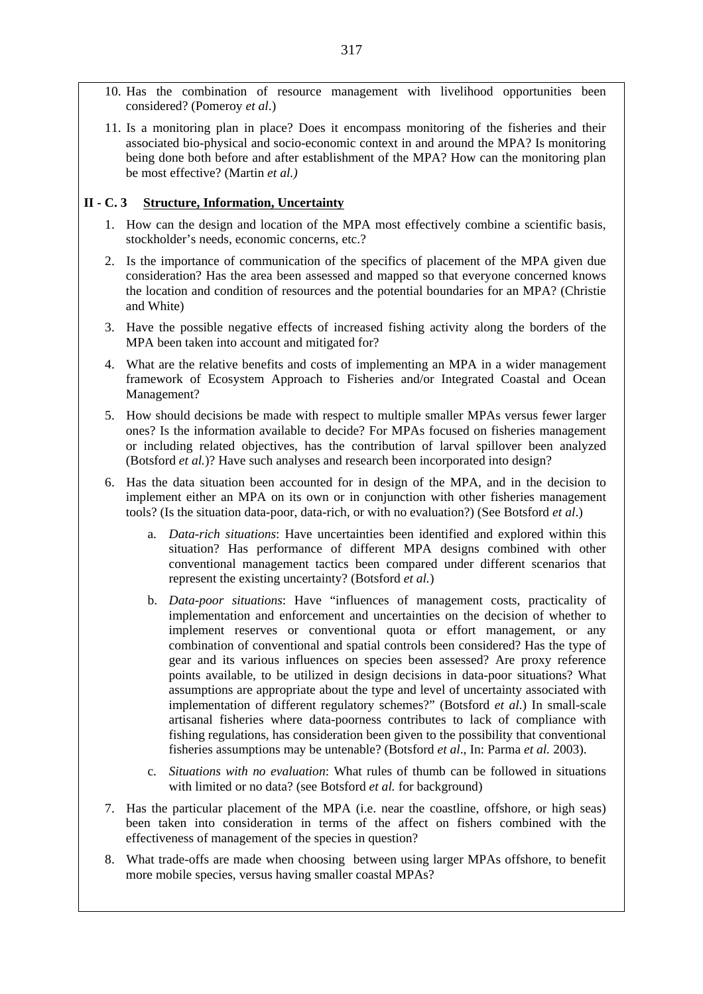- 10. Has the combination of resource management with livelihood opportunities been considered? (Pomeroy *et al*.)
- 11. Is a monitoring plan in place? Does it encompass monitoring of the fisheries and their associated bio-physical and socio-economic context in and around the MPA? Is monitoring being done both before and after establishment of the MPA? How can the monitoring plan be most effective? (Martin *et al.)*

### **II - C. 3 Structure, Information, Uncertainty**

- 1. How can the design and location of the MPA most effectively combine a scientific basis, stockholder's needs, economic concerns, etc.?
- 2. Is the importance of communication of the specifics of placement of the MPA given due consideration? Has the area been assessed and mapped so that everyone concerned knows the location and condition of resources and the potential boundaries for an MPA? (Christie and White)
- 3. Have the possible negative effects of increased fishing activity along the borders of the MPA been taken into account and mitigated for?
- 4. What are the relative benefits and costs of implementing an MPA in a wider management framework of Ecosystem Approach to Fisheries and/or Integrated Coastal and Ocean Management?
- 5. How should decisions be made with respect to multiple smaller MPAs versus fewer larger ones? Is the information available to decide? For MPAs focused on fisheries management or including related objectives, has the contribution of larval spillover been analyzed (Botsford *et al.*)? Have such analyses and research been incorporated into design?
- 6. Has the data situation been accounted for in design of the MPA, and in the decision to implement either an MPA on its own or in conjunction with other fisheries management tools? (Is the situation data-poor, data-rich, or with no evaluation?) (See Botsford *et al*.)
	- a. *Data-rich situations*: Have uncertainties been identified and explored within this situation? Has performance of different MPA designs combined with other conventional management tactics been compared under different scenarios that represent the existing uncertainty? (Botsford *et al.*)
	- b. *Data-poor situations*: Have "influences of management costs, practicality of implementation and enforcement and uncertainties on the decision of whether to implement reserves or conventional quota or effort management, or any combination of conventional and spatial controls been considered? Has the type of gear and its various influences on species been assessed? Are proxy reference points available, to be utilized in design decisions in data-poor situations? What assumptions are appropriate about the type and level of uncertainty associated with implementation of different regulatory schemes?" (Botsford *et al*.) In small-scale artisanal fisheries where data-poorness contributes to lack of compliance with fishing regulations, has consideration been given to the possibility that conventional fisheries assumptions may be untenable? (Botsford *et al*., In: Parma *et al.* 2003).
	- c. *Situations with no evaluation*: What rules of thumb can be followed in situations with limited or no data? (see Botsford *et al.* for background)
- 7. Has the particular placement of the MPA (i.e. near the coastline, offshore, or high seas) been taken into consideration in terms of the affect on fishers combined with the effectiveness of management of the species in question?
- 8. What trade-offs are made when choosing between using larger MPAs offshore, to benefit more mobile species, versus having smaller coastal MPAs?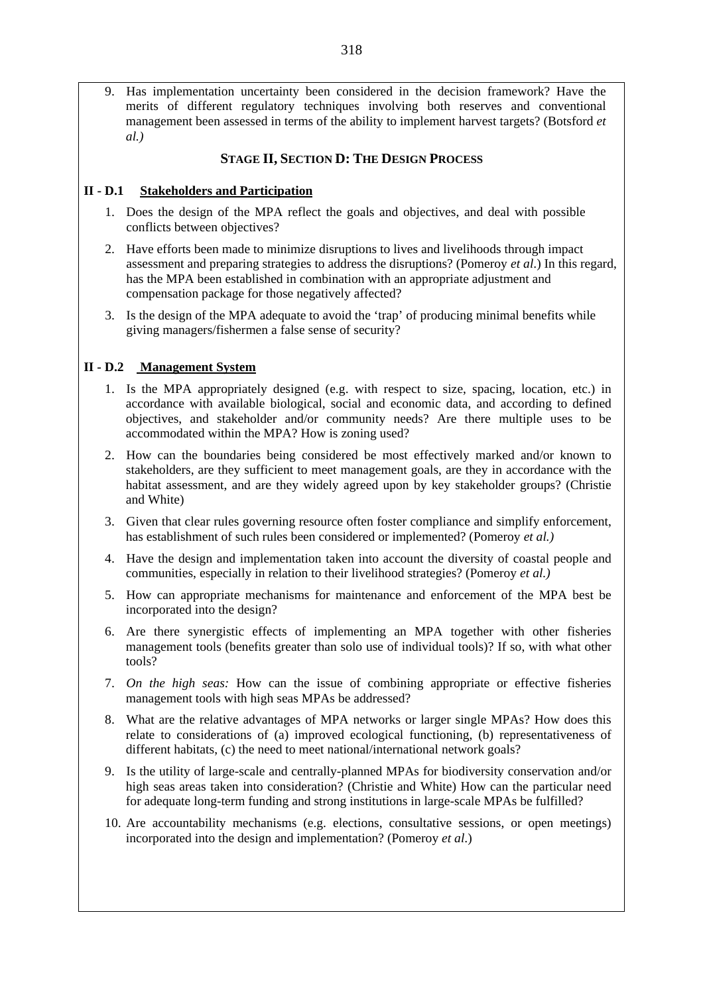9. Has implementation uncertainty been considered in the decision framework? Have the merits of different regulatory techniques involving both reserves and conventional management been assessed in terms of the ability to implement harvest targets? (Botsford *et al.)*

### **STAGE II, SECTION D: THE DESIGN PROCESS**

### **II - D.1 Stakeholders and Participation**

- 1. Does the design of the MPA reflect the goals and objectives, and deal with possible conflicts between objectives?
- 2. Have efforts been made to minimize disruptions to lives and livelihoods through impact assessment and preparing strategies to address the disruptions? (Pomeroy *et al*.) In this regard, has the MPA been established in combination with an appropriate adjustment and compensation package for those negatively affected?
- 3. Is the design of the MPA adequate to avoid the 'trap' of producing minimal benefits while giving managers/fishermen a false sense of security?

### **II - D.2 Management System**

- 1. Is the MPA appropriately designed (e.g. with respect to size, spacing, location, etc.) in accordance with available biological, social and economic data, and according to defined objectives, and stakeholder and/or community needs? Are there multiple uses to be accommodated within the MPA? How is zoning used?
- 2. How can the boundaries being considered be most effectively marked and/or known to stakeholders, are they sufficient to meet management goals, are they in accordance with the habitat assessment, and are they widely agreed upon by key stakeholder groups? (Christie and White)
- 3. Given that clear rules governing resource often foster compliance and simplify enforcement, has establishment of such rules been considered or implemented? (Pomeroy *et al.)*
- 4. Have the design and implementation taken into account the diversity of coastal people and communities, especially in relation to their livelihood strategies? (Pomeroy *et al.)*
- 5. How can appropriate mechanisms for maintenance and enforcement of the MPA best be incorporated into the design?
- 6. Are there synergistic effects of implementing an MPA together with other fisheries management tools (benefits greater than solo use of individual tools)? If so, with what other tools?
- 7. *On the high seas:* How can the issue of combining appropriate or effective fisheries management tools with high seas MPAs be addressed?
- 8. What are the relative advantages of MPA networks or larger single MPAs? How does this relate to considerations of (a) improved ecological functioning, (b) representativeness of different habitats, (c) the need to meet national/international network goals?
- 9. Is the utility of large-scale and centrally-planned MPAs for biodiversity conservation and/or high seas areas taken into consideration? (Christie and White) How can the particular need for adequate long-term funding and strong institutions in large-scale MPAs be fulfilled?
- 10. Are accountability mechanisms (e.g. elections, consultative sessions, or open meetings) incorporated into the design and implementation? (Pomeroy *et al*.)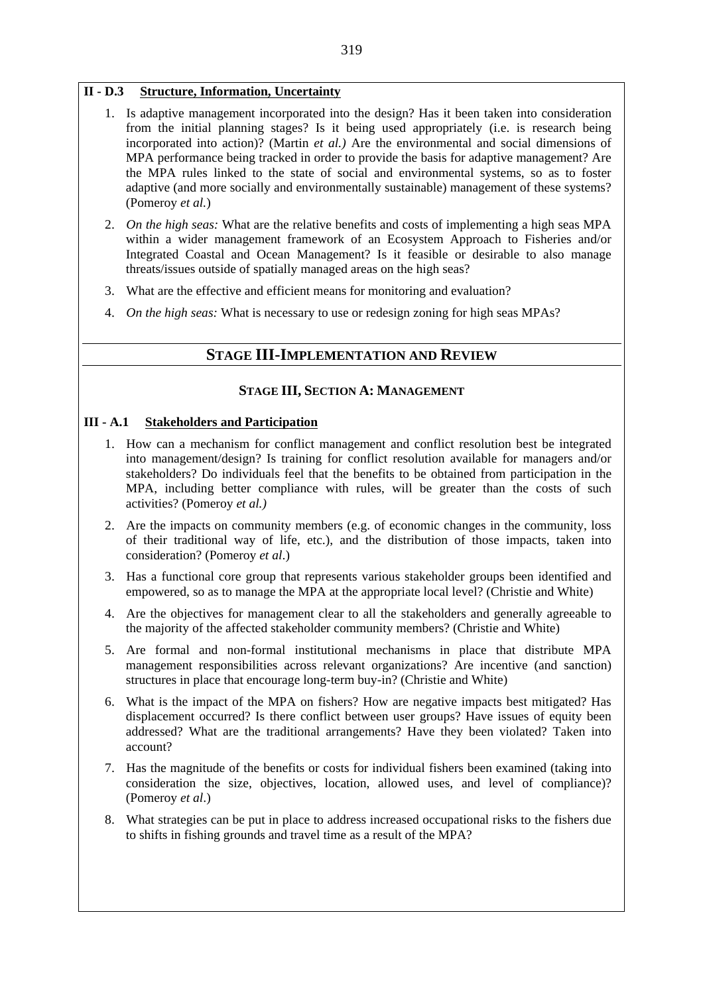### **II - D.3 Structure, Information, Uncertainty**

- 1. Is adaptive management incorporated into the design? Has it been taken into consideration from the initial planning stages? Is it being used appropriately (i.e. is research being incorporated into action)? (Martin *et al.)* Are the environmental and social dimensions of MPA performance being tracked in order to provide the basis for adaptive management? Are the MPA rules linked to the state of social and environmental systems, so as to foster adaptive (and more socially and environmentally sustainable) management of these systems? (Pomeroy *et al.*)
- 2. *On the high seas:* What are the relative benefits and costs of implementing a high seas MPA within a wider management framework of an Ecosystem Approach to Fisheries and/or Integrated Coastal and Ocean Management? Is it feasible or desirable to also manage threats/issues outside of spatially managed areas on the high seas?
- 3. What are the effective and efficient means for monitoring and evaluation?
- 4. *On the high seas:* What is necessary to use or redesign zoning for high seas MPAs?

### **STAGE III-IMPLEMENTATION AND REVIEW**

### **STAGE III, SECTION A: MANAGEMENT**

### **III - A.1 Stakeholders and Participation**

- 1. How can a mechanism for conflict management and conflict resolution best be integrated into management/design? Is training for conflict resolution available for managers and/or stakeholders? Do individuals feel that the benefits to be obtained from participation in the MPA, including better compliance with rules, will be greater than the costs of such activities? (Pomeroy *et al.)*
- 2. Are the impacts on community members (e.g. of economic changes in the community, loss of their traditional way of life, etc.), and the distribution of those impacts, taken into consideration? (Pomeroy *et al*.)
- 3. Has a functional core group that represents various stakeholder groups been identified and empowered, so as to manage the MPA at the appropriate local level? (Christie and White)
- 4. Are the objectives for management clear to all the stakeholders and generally agreeable to the majority of the affected stakeholder community members? (Christie and White)
- 5. Are formal and non-formal institutional mechanisms in place that distribute MPA management responsibilities across relevant organizations? Are incentive (and sanction) structures in place that encourage long-term buy-in? (Christie and White)
- 6. What is the impact of the MPA on fishers? How are negative impacts best mitigated? Has displacement occurred? Is there conflict between user groups? Have issues of equity been addressed? What are the traditional arrangements? Have they been violated? Taken into account?
- 7. Has the magnitude of the benefits or costs for individual fishers been examined (taking into consideration the size, objectives, location, allowed uses, and level of compliance)? (Pomeroy *et al*.)
- 8. What strategies can be put in place to address increased occupational risks to the fishers due to shifts in fishing grounds and travel time as a result of the MPA?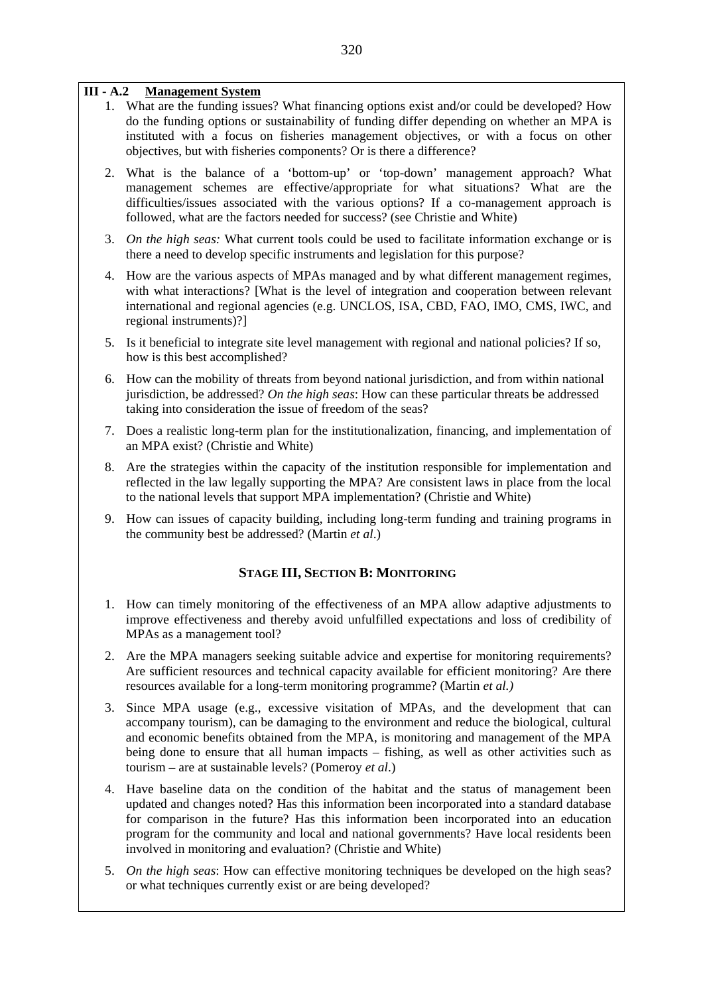### **III - A.2 Management System**

- 1. What are the funding issues? What financing options exist and/or could be developed? How do the funding options or sustainability of funding differ depending on whether an MPA is instituted with a focus on fisheries management objectives, or with a focus on other objectives, but with fisheries components? Or is there a difference?
- 2. What is the balance of a 'bottom-up' or 'top-down' management approach? What management schemes are effective/appropriate for what situations? What are the difficulties/issues associated with the various options? If a co-management approach is followed, what are the factors needed for success? (see Christie and White)
- 3. *On the high seas:* What current tools could be used to facilitate information exchange or is there a need to develop specific instruments and legislation for this purpose?
- 4. How are the various aspects of MPAs managed and by what different management regimes, with what interactions? [What is the level of integration and cooperation between relevant international and regional agencies (e.g. UNCLOS, ISA, CBD, FAO, IMO, CMS, IWC, and regional instruments)?]
- 5. Is it beneficial to integrate site level management with regional and national policies? If so, how is this best accomplished?
- 6. How can the mobility of threats from beyond national jurisdiction, and from within national jurisdiction, be addressed? *On the high seas*: How can these particular threats be addressed taking into consideration the issue of freedom of the seas?
- 7. Does a realistic long-term plan for the institutionalization, financing, and implementation of an MPA exist? (Christie and White)
- 8. Are the strategies within the capacity of the institution responsible for implementation and reflected in the law legally supporting the MPA? Are consistent laws in place from the local to the national levels that support MPA implementation? (Christie and White)
- 9. How can issues of capacity building, including long-term funding and training programs in the community best be addressed? (Martin *et al*.)

### **STAGE III, SECTION B: MONITORING**

- 1. How can timely monitoring of the effectiveness of an MPA allow adaptive adjustments to improve effectiveness and thereby avoid unfulfilled expectations and loss of credibility of MPAs as a management tool?
- 2. Are the MPA managers seeking suitable advice and expertise for monitoring requirements? Are sufficient resources and technical capacity available for efficient monitoring? Are there resources available for a long-term monitoring programme? (Martin *et al.)*
- 3. Since MPA usage (e.g., excessive visitation of MPAs, and the development that can accompany tourism), can be damaging to the environment and reduce the biological, cultural and economic benefits obtained from the MPA, is monitoring and management of the MPA being done to ensure that all human impacts – fishing, as well as other activities such as tourism – are at sustainable levels? (Pomeroy *et al*.)
- 4. Have baseline data on the condition of the habitat and the status of management been updated and changes noted? Has this information been incorporated into a standard database for comparison in the future? Has this information been incorporated into an education program for the community and local and national governments? Have local residents been involved in monitoring and evaluation? (Christie and White)
- 5. *On the high seas*: How can effective monitoring techniques be developed on the high seas? or what techniques currently exist or are being developed?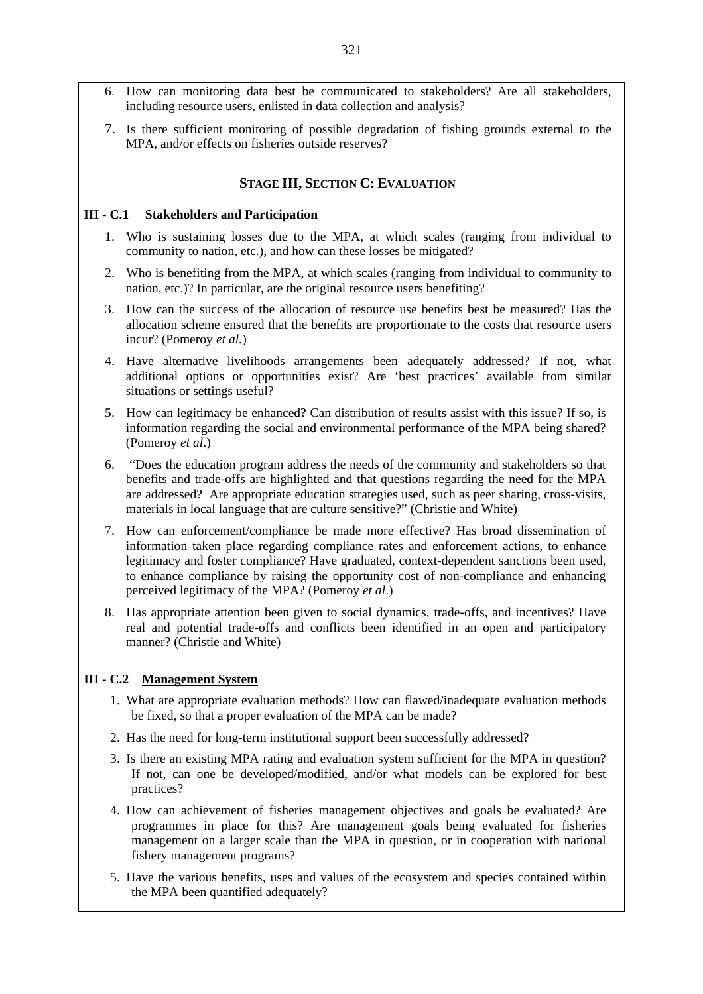- 6. How can monitoring data best be communicated to stakeholders? Are all stakeholders, including resource users, enlisted in data collection and analysis?
- 7. Is there sufficient monitoring of possible degradation of fishing grounds external to the MPA, and/or effects on fisheries outside reserves?

### **STAGE III, SECTION C: EVALUATION**

#### **III - C.1 Stakeholders and Participation**

- 1. Who is sustaining losses due to the MPA, at which scales (ranging from individual to community to nation, etc.), and how can these losses be mitigated?
- 2. Who is benefiting from the MPA, at which scales (ranging from individual to community to nation, etc.)? In particular, are the original resource users benefiting?
- 3. How can the success of the allocation of resource use benefits best be measured? Has the allocation scheme ensured that the benefits are proportionate to the costs that resource users incur? (Pomeroy *et al.*)
- 4. Have alternative livelihoods arrangements been adequately addressed? If not, what additional options or opportunities exist? Are 'best practices' available from similar situations or settings useful?
- 5. How can legitimacy be enhanced? Can distribution of results assist with this issue? If so, is information regarding the social and environmental performance of the MPA being shared? (Pomeroy *et al*.)
- 6. "Does the education program address the needs of the community and stakeholders so that benefits and trade-offs are highlighted and that questions regarding the need for the MPA are addressed? Are appropriate education strategies used, such as peer sharing, cross-visits, materials in local language that are culture sensitive?" (Christie and White)
- 7. How can enforcement/compliance be made more effective? Has broad dissemination of information taken place regarding compliance rates and enforcement actions, to enhance legitimacy and foster compliance? Have graduated, context-dependent sanctions been used, to enhance compliance by raising the opportunity cost of non-compliance and enhancing perceived legitimacy of the MPA? (Pomeroy *et al*.)
- 8. Has appropriate attention been given to social dynamics, trade-offs, and incentives? Have real and potential trade-offs and conflicts been identified in an open and participatory manner? (Christie and White)

### **III - C.2 Management System**

- 1. What are appropriate evaluation methods? How can flawed/inadequate evaluation methods be fixed, so that a proper evaluation of the MPA can be made?
- 2. Has the need for long-term institutional support been successfully addressed?
- 3. Is there an existing MPA rating and evaluation system sufficient for the MPA in question? If not, can one be developed/modified, and/or what models can be explored for best practices?
- 4. How can achievement of fisheries management objectives and goals be evaluated? Are programmes in place for this? Are management goals being evaluated for fisheries management on a larger scale than the MPA in question, or in cooperation with national fishery management programs?
- 5. Have the various benefits, uses and values of the ecosystem and species contained within the MPA been quantified adequately?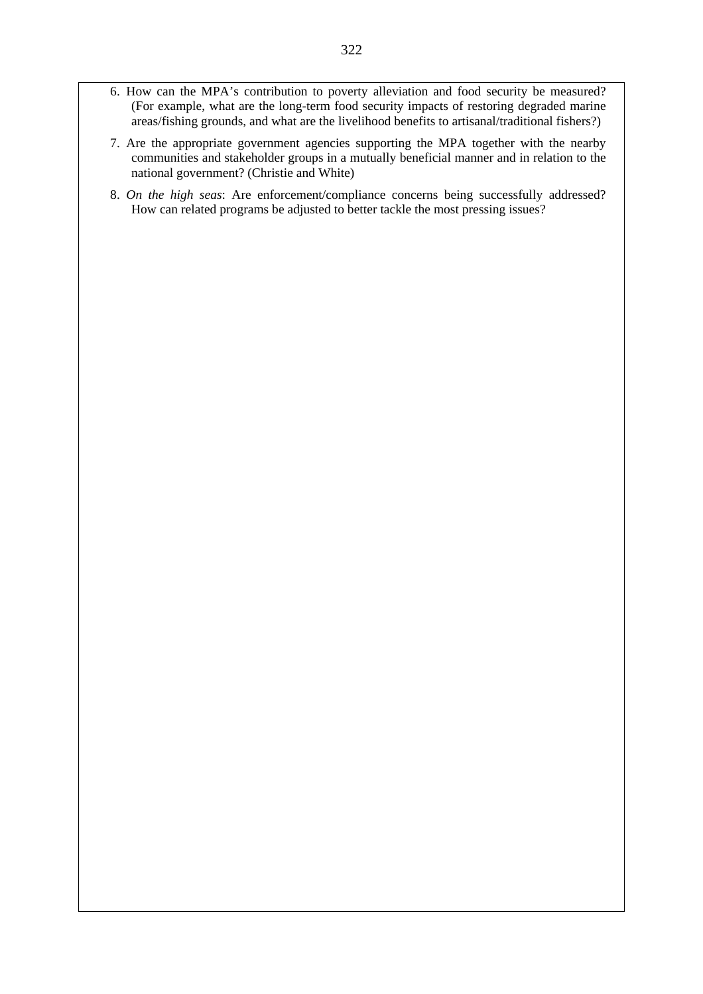- 6. How can the MPA's contribution to poverty alleviation and food security be measured? (For example, what are the long-term food security impacts of restoring degraded marine areas/fishing grounds, and what are the livelihood benefits to artisanal/traditional fishers?)
- 7. Are the appropriate government agencies supporting the MPA together with the nearby communities and stakeholder groups in a mutually beneficial manner and in relation to the national government? (Christie and White)
- 8. *On the high seas*: Are enforcement/compliance concerns being successfully addressed? How can related programs be adjusted to better tackle the most pressing issues?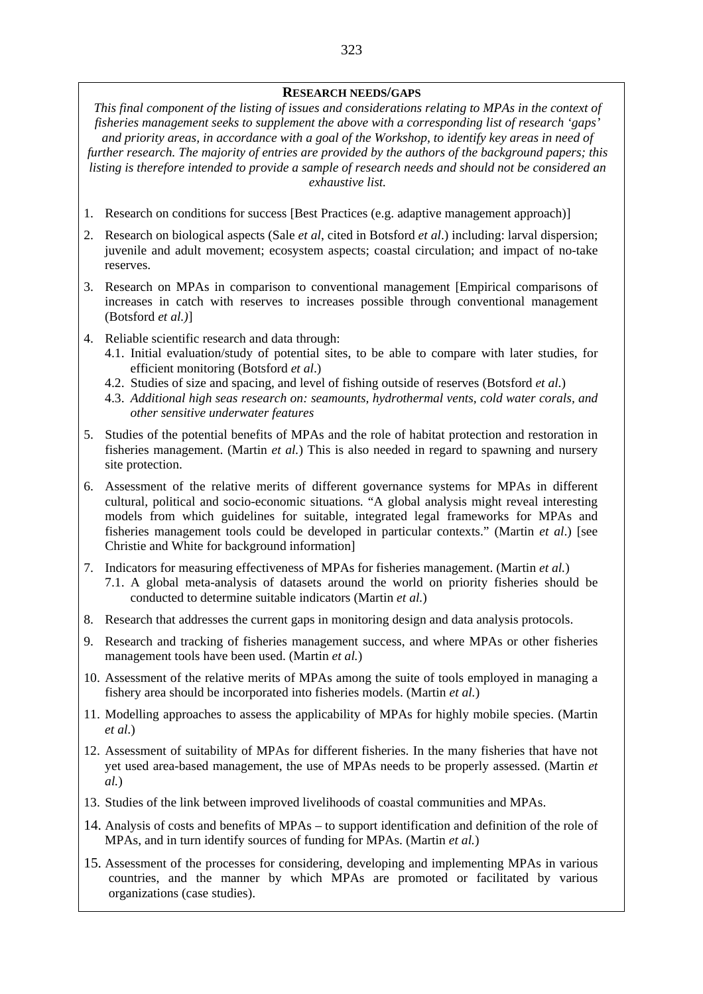#### **RESEARCH NEEDS/GAPS**

*This final component of the listing of issues and considerations relating to MPAs in the context of fisheries management seeks to supplement the above with a corresponding list of research 'gaps' and priority areas, in accordance with a goal of the Workshop, to identify key areas in need of further research. The majority of entries are provided by the authors of the background papers; this listing is therefore intended to provide a sample of research needs and should not be considered an exhaustive list.* 

- 1. Research on conditions for success [Best Practices (e.g. adaptive management approach)]
- 2. Research on biological aspects (Sale *et al*, cited in Botsford *et al*.) including: larval dispersion; juvenile and adult movement; ecosystem aspects; coastal circulation; and impact of no-take reserves.
- 3. Research on MPAs in comparison to conventional management [Empirical comparisons of increases in catch with reserves to increases possible through conventional management (Botsford *et al.)*]
- 4. Reliable scientific research and data through:
	- 4.1. Initial evaluation/study of potential sites, to be able to compare with later studies, for efficient monitoring (Botsford *et al*.)
	- 4.2. Studies of size and spacing, and level of fishing outside of reserves (Botsford *et al*.)
	- 4.3. *Additional high seas research on: seamounts, hydrothermal vents, cold water corals, and other sensitive underwater features*
- 5. Studies of the potential benefits of MPAs and the role of habitat protection and restoration in fisheries management. (Martin *et al.*) This is also needed in regard to spawning and nursery site protection.
- 6. Assessment of the relative merits of different governance systems for MPAs in different cultural, political and socio-economic situations. "A global analysis might reveal interesting models from which guidelines for suitable, integrated legal frameworks for MPAs and fisheries management tools could be developed in particular contexts." (Martin *et al*.) [see Christie and White for background information]
- 7. Indicators for measuring effectiveness of MPAs for fisheries management. (Martin *et al.*) 7.1. A global meta-analysis of datasets around the world on priority fisheries should be conducted to determine suitable indicators (Martin *et al.*)
- 8. Research that addresses the current gaps in monitoring design and data analysis protocols.
- 9. Research and tracking of fisheries management success, and where MPAs or other fisheries management tools have been used. (Martin *et al.*)
- 10. Assessment of the relative merits of MPAs among the suite of tools employed in managing a fishery area should be incorporated into fisheries models. (Martin *et al.*)
- 11. Modelling approaches to assess the applicability of MPAs for highly mobile species. (Martin *et al*.)
- 12. Assessment of suitability of MPAs for different fisheries. In the many fisheries that have not yet used area-based management, the use of MPAs needs to be properly assessed. (Martin *et al.*)
- 13. Studies of the link between improved livelihoods of coastal communities and MPAs.
- 14. Analysis of costs and benefits of MPAs to support identification and definition of the role of MPAs, and in turn identify sources of funding for MPAs. (Martin *et al.*)
- 15. Assessment of the processes for considering, developing and implementing MPAs in various countries, and the manner by which MPAs are promoted or facilitated by various organizations (case studies).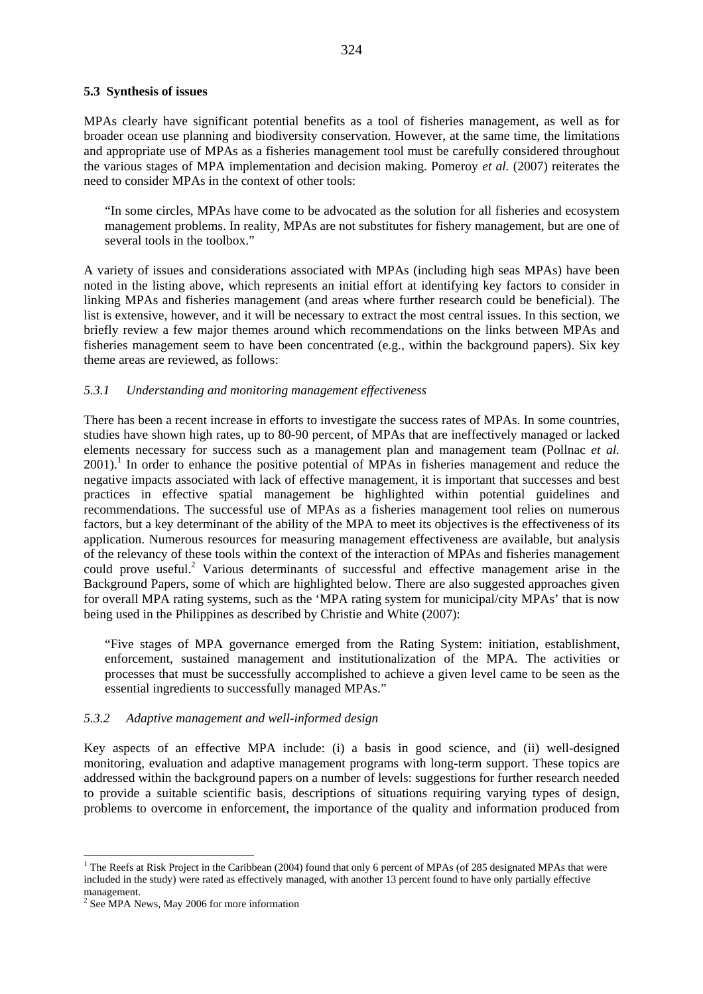#### **5.3 Synthesis of issues**

MPAs clearly have significant potential benefits as a tool of fisheries management, as well as for broader ocean use planning and biodiversity conservation. However, at the same time, the limitations and appropriate use of MPAs as a fisheries management tool must be carefully considered throughout the various stages of MPA implementation and decision making. Pomeroy *et al.* (2007) reiterates the need to consider MPAs in the context of other tools:

"In some circles, MPAs have come to be advocated as the solution for all fisheries and ecosystem management problems. In reality, MPAs are not substitutes for fishery management, but are one of several tools in the toolbox."

A variety of issues and considerations associated with MPAs (including high seas MPAs) have been noted in the listing above, which represents an initial effort at identifying key factors to consider in linking MPAs and fisheries management (and areas where further research could be beneficial). The list is extensive, however, and it will be necessary to extract the most central issues. In this section, we briefly review a few major themes around which recommendations on the links between MPAs and fisheries management seem to have been concentrated (e.g., within the background papers). Six key theme areas are reviewed, as follows:

### *5.3.1 Understanding and monitoring management effectiveness*

There has been a recent increase in efforts to investigate the success rates of MPAs. In some countries, studies have shown high rates, up to 80-90 percent, of MPAs that are ineffectively managed or lacked elements necessary for success such as a management plan and management team (Pollnac *et al.*  2001).<sup>1</sup> In order to enhance the positive potential of MPAs in fisheries management and reduce the negative impacts associated with lack of effective management, it is important that successes and best practices in effective spatial management be highlighted within potential guidelines and recommendations. The successful use of MPAs as a fisheries management tool relies on numerous factors, but a key determinant of the ability of the MPA to meet its objectives is the effectiveness of its application. Numerous resources for measuring management effectiveness are available, but analysis of the relevancy of these tools within the context of the interaction of MPAs and fisheries management could prove useful.<sup>2</sup> Various determinants of successful and effective management arise in the Background Papers, some of which are highlighted below. There are also suggested approaches given for overall MPA rating systems, such as the 'MPA rating system for municipal/city MPAs' that is now being used in the Philippines as described by Christie and White (2007):

"Five stages of MPA governance emerged from the Rating System: initiation, establishment, enforcement, sustained management and institutionalization of the MPA. The activities or processes that must be successfully accomplished to achieve a given level came to be seen as the essential ingredients to successfully managed MPAs."

#### *5.3.2 Adaptive management and well-informed design*

Key aspects of an effective MPA include: (i) a basis in good science, and (ii) well-designed monitoring, evaluation and adaptive management programs with long-term support. These topics are addressed within the background papers on a number of levels: suggestions for further research needed to provide a suitable scientific basis, descriptions of situations requiring varying types of design, problems to overcome in enforcement, the importance of the quality and information produced from

 $\overline{a}$ 

<sup>&</sup>lt;sup>1</sup> The Reefs at Risk Project in the Caribbean (2004) found that only 6 percent of MPAs (of 285 designated MPAs that were included in the study) were rated as effectively managed, with another 13 percent found to have only partially effective management.

 $2^2$  See MPA News, May 2006 for more information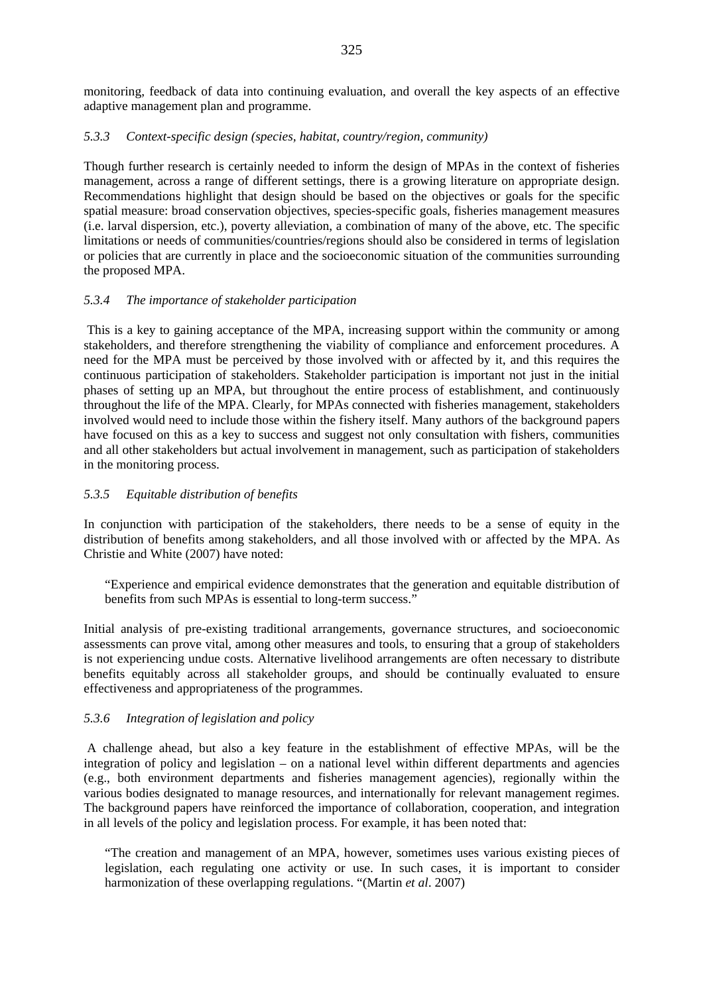monitoring, feedback of data into continuing evaluation, and overall the key aspects of an effective adaptive management plan and programme.

### *5.3.3 Context-specific design (species, habitat, country/region, community)*

Though further research is certainly needed to inform the design of MPAs in the context of fisheries management, across a range of different settings, there is a growing literature on appropriate design. Recommendations highlight that design should be based on the objectives or goals for the specific spatial measure: broad conservation objectives, species-specific goals, fisheries management measures (i.e. larval dispersion, etc.), poverty alleviation, a combination of many of the above, etc. The specific limitations or needs of communities/countries/regions should also be considered in terms of legislation or policies that are currently in place and the socioeconomic situation of the communities surrounding the proposed MPA.

### *5.3.4 The importance of stakeholder participation*

This is a key to gaining acceptance of the MPA, increasing support within the community or among stakeholders, and therefore strengthening the viability of compliance and enforcement procedures. A need for the MPA must be perceived by those involved with or affected by it, and this requires the continuous participation of stakeholders. Stakeholder participation is important not just in the initial phases of setting up an MPA, but throughout the entire process of establishment, and continuously throughout the life of the MPA. Clearly, for MPAs connected with fisheries management, stakeholders involved would need to include those within the fishery itself. Many authors of the background papers have focused on this as a key to success and suggest not only consultation with fishers, communities and all other stakeholders but actual involvement in management, such as participation of stakeholders in the monitoring process.

### *5.3.5 Equitable distribution of benefits*

In conjunction with participation of the stakeholders, there needs to be a sense of equity in the distribution of benefits among stakeholders, and all those involved with or affected by the MPA. As Christie and White (2007) have noted:

"Experience and empirical evidence demonstrates that the generation and equitable distribution of benefits from such MPAs is essential to long-term success."

Initial analysis of pre-existing traditional arrangements, governance structures, and socioeconomic assessments can prove vital, among other measures and tools, to ensuring that a group of stakeholders is not experiencing undue costs. Alternative livelihood arrangements are often necessary to distribute benefits equitably across all stakeholder groups, and should be continually evaluated to ensure effectiveness and appropriateness of the programmes.

### *5.3.6 Integration of legislation and policy*

A challenge ahead, but also a key feature in the establishment of effective MPAs, will be the integration of policy and legislation – on a national level within different departments and agencies (e.g., both environment departments and fisheries management agencies), regionally within the various bodies designated to manage resources, and internationally for relevant management regimes. The background papers have reinforced the importance of collaboration, cooperation, and integration in all levels of the policy and legislation process. For example, it has been noted that:

"The creation and management of an MPA, however, sometimes uses various existing pieces of legislation, each regulating one activity or use. In such cases, it is important to consider harmonization of these overlapping regulations. "(Martin *et al*. 2007)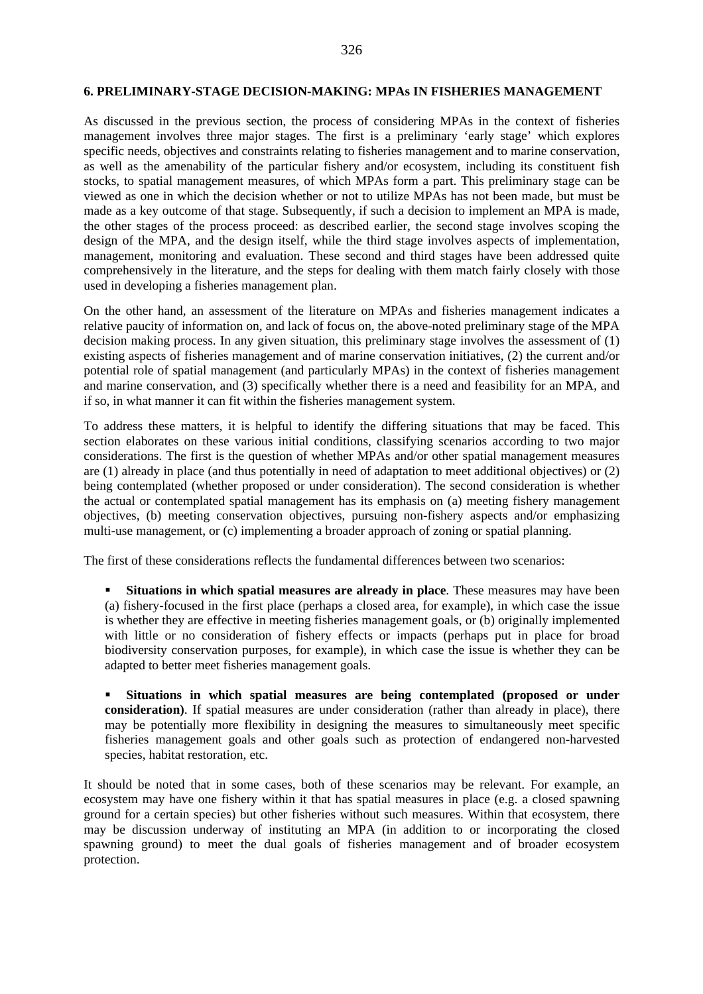#### **6. PRELIMINARY-STAGE DECISION-MAKING: MPAs IN FISHERIES MANAGEMENT**

As discussed in the previous section, the process of considering MPAs in the context of fisheries management involves three major stages. The first is a preliminary 'early stage' which explores specific needs, objectives and constraints relating to fisheries management and to marine conservation, as well as the amenability of the particular fishery and/or ecosystem, including its constituent fish stocks, to spatial management measures, of which MPAs form a part. This preliminary stage can be viewed as one in which the decision whether or not to utilize MPAs has not been made, but must be made as a key outcome of that stage. Subsequently, if such a decision to implement an MPA is made, the other stages of the process proceed: as described earlier, the second stage involves scoping the design of the MPA, and the design itself, while the third stage involves aspects of implementation, management, monitoring and evaluation. These second and third stages have been addressed quite comprehensively in the literature, and the steps for dealing with them match fairly closely with those used in developing a fisheries management plan.

On the other hand, an assessment of the literature on MPAs and fisheries management indicates a relative paucity of information on, and lack of focus on, the above-noted preliminary stage of the MPA decision making process. In any given situation, this preliminary stage involves the assessment of (1) existing aspects of fisheries management and of marine conservation initiatives, (2) the current and/or potential role of spatial management (and particularly MPAs) in the context of fisheries management and marine conservation, and (3) specifically whether there is a need and feasibility for an MPA, and if so, in what manner it can fit within the fisheries management system.

To address these matters, it is helpful to identify the differing situations that may be faced. This section elaborates on these various initial conditions, classifying scenarios according to two major considerations. The first is the question of whether MPAs and/or other spatial management measures are (1) already in place (and thus potentially in need of adaptation to meet additional objectives) or (2) being contemplated (whether proposed or under consideration). The second consideration is whether the actual or contemplated spatial management has its emphasis on (a) meeting fishery management objectives, (b) meeting conservation objectives, pursuing non-fishery aspects and/or emphasizing multi-use management, or (c) implementing a broader approach of zoning or spatial planning.

The first of these considerations reflects the fundamental differences between two scenarios:

 **Situations in which spatial measures are already in place**. These measures may have been (a) fishery-focused in the first place (perhaps a closed area, for example), in which case the issue is whether they are effective in meeting fisheries management goals, or (b) originally implemented with little or no consideration of fishery effects or impacts (perhaps put in place for broad biodiversity conservation purposes, for example), in which case the issue is whether they can be adapted to better meet fisheries management goals.

 **Situations in which spatial measures are being contemplated (proposed or under consideration)**. If spatial measures are under consideration (rather than already in place), there may be potentially more flexibility in designing the measures to simultaneously meet specific fisheries management goals and other goals such as protection of endangered non-harvested species, habitat restoration, etc.

It should be noted that in some cases, both of these scenarios may be relevant. For example, an ecosystem may have one fishery within it that has spatial measures in place (e.g. a closed spawning ground for a certain species) but other fisheries without such measures. Within that ecosystem, there may be discussion underway of instituting an MPA (in addition to or incorporating the closed spawning ground) to meet the dual goals of fisheries management and of broader ecosystem protection.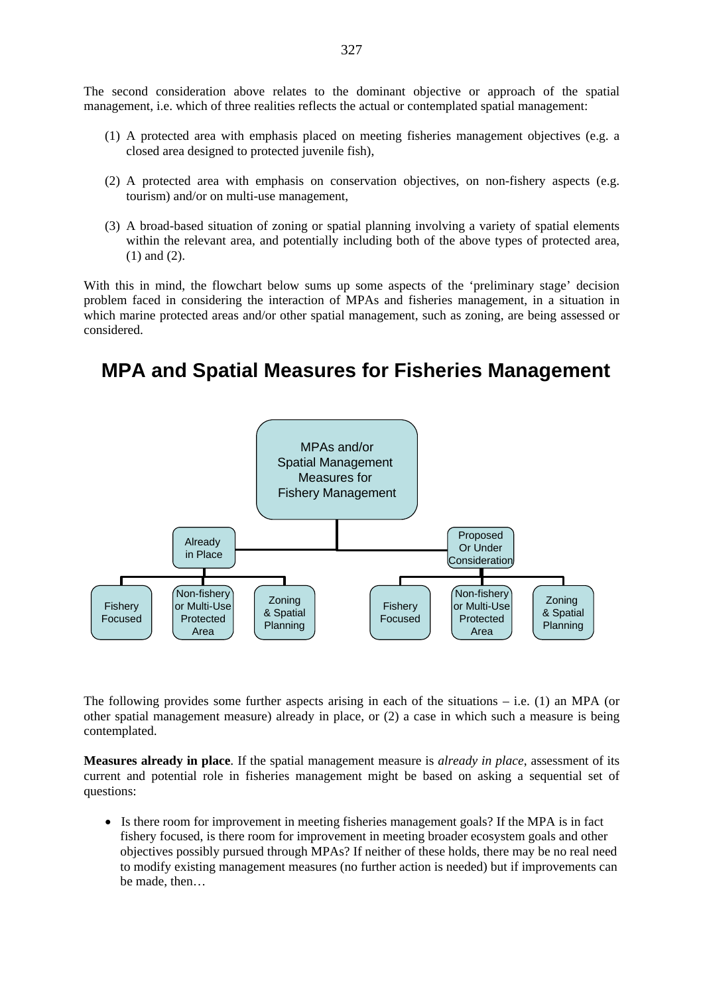The second consideration above relates to the dominant objective or approach of the spatial management, i.e. which of three realities reflects the actual or contemplated spatial management:

- (1) A protected area with emphasis placed on meeting fisheries management objectives (e.g. a closed area designed to protected juvenile fish),
- (2) A protected area with emphasis on conservation objectives, on non-fishery aspects (e.g. tourism) and/or on multi-use management,
- (3) A broad-based situation of zoning or spatial planning involving a variety of spatial elements within the relevant area, and potentially including both of the above types of protected area, (1) and (2).

With this in mind, the flowchart below sums up some aspects of the 'preliminary stage' decision problem faced in considering the interaction of MPAs and fisheries management, in a situation in which marine protected areas and/or other spatial management, such as zoning, are being assessed or considered.

# **MPA and Spatial Measures for Fisheries Management**



The following provides some further aspects arising in each of the situations  $-$  i.e. (1) an MPA (or other spatial management measure) already in place, or (2) a case in which such a measure is being contemplated.

**Measures already in place**. If the spatial management measure is *already in place*, assessment of its current and potential role in fisheries management might be based on asking a sequential set of questions:

• Is there room for improvement in meeting fisheries management goals? If the MPA is in fact fishery focused, is there room for improvement in meeting broader ecosystem goals and other objectives possibly pursued through MPAs? If neither of these holds, there may be no real need to modify existing management measures (no further action is needed) but if improvements can be made, then…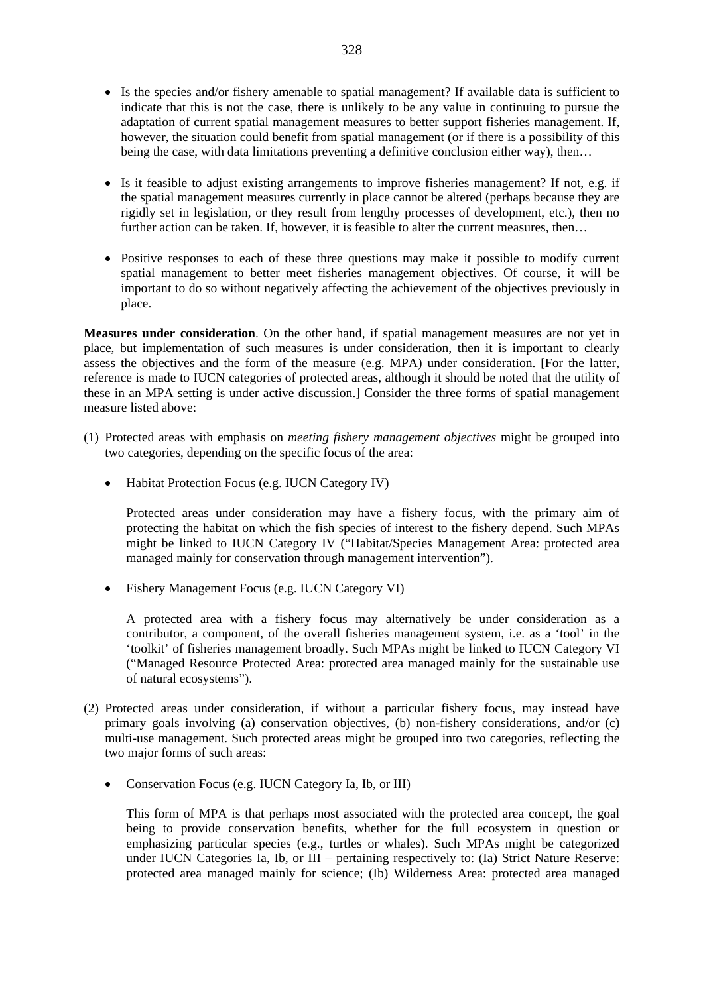- Is the species and/or fishery amenable to spatial management? If available data is sufficient to indicate that this is not the case, there is unlikely to be any value in continuing to pursue the adaptation of current spatial management measures to better support fisheries management. If, however, the situation could benefit from spatial management (or if there is a possibility of this being the case, with data limitations preventing a definitive conclusion either way), then…
- Is it feasible to adjust existing arrangements to improve fisheries management? If not, e.g. if the spatial management measures currently in place cannot be altered (perhaps because they are rigidly set in legislation, or they result from lengthy processes of development, etc.), then no further action can be taken. If, however, it is feasible to alter the current measures, then...
- Positive responses to each of these three questions may make it possible to modify current spatial management to better meet fisheries management objectives. Of course, it will be important to do so without negatively affecting the achievement of the objectives previously in place.

**Measures under consideration**. On the other hand, if spatial management measures are not yet in place, but implementation of such measures is under consideration, then it is important to clearly assess the objectives and the form of the measure (e.g. MPA) under consideration. [For the latter, reference is made to IUCN categories of protected areas, although it should be noted that the utility of these in an MPA setting is under active discussion.] Consider the three forms of spatial management measure listed above:

- (1) Protected areas with emphasis on *meeting fishery management objectives* might be grouped into two categories, depending on the specific focus of the area:
	- Habitat Protection Focus (e.g. IUCN Category IV)

Protected areas under consideration may have a fishery focus, with the primary aim of protecting the habitat on which the fish species of interest to the fishery depend. Such MPAs might be linked to IUCN Category IV ("Habitat/Species Management Area: protected area managed mainly for conservation through management intervention").

• Fishery Management Focus (e.g. IUCN Category VI)

A protected area with a fishery focus may alternatively be under consideration as a contributor, a component, of the overall fisheries management system, i.e. as a 'tool' in the 'toolkit' of fisheries management broadly. Such MPAs might be linked to IUCN Category VI ("Managed Resource Protected Area: protected area managed mainly for the sustainable use of natural ecosystems").

- (2) Protected areas under consideration, if without a particular fishery focus, may instead have primary goals involving (a) conservation objectives, (b) non-fishery considerations, and/or (c) multi-use management. Such protected areas might be grouped into two categories, reflecting the two major forms of such areas:
	- Conservation Focus (e.g. IUCN Category Ia, Ib, or III)

This form of MPA is that perhaps most associated with the protected area concept, the goal being to provide conservation benefits, whether for the full ecosystem in question or emphasizing particular species (e.g., turtles or whales). Such MPAs might be categorized under IUCN Categories Ia, Ib, or III – pertaining respectively to: (Ia) Strict Nature Reserve: protected area managed mainly for science; (Ib) Wilderness Area: protected area managed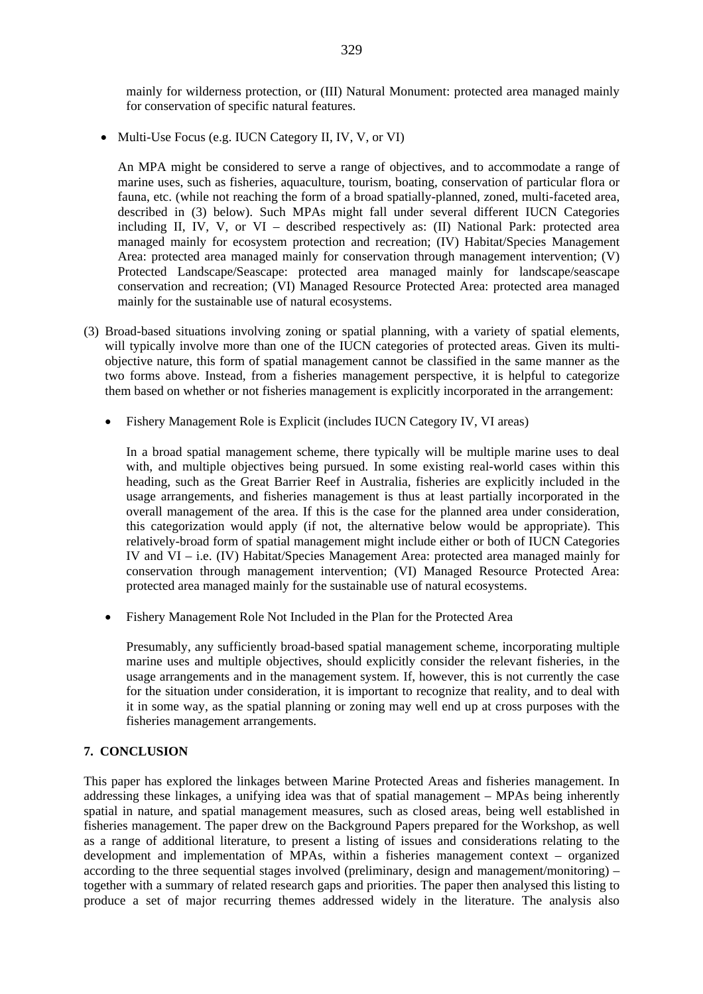mainly for wilderness protection, or (III) Natural Monument: protected area managed mainly for conservation of specific natural features.

• Multi-Use Focus (e.g. IUCN Category II, IV, V, or VI)

An MPA might be considered to serve a range of objectives, and to accommodate a range of marine uses, such as fisheries, aquaculture, tourism, boating, conservation of particular flora or fauna, etc. (while not reaching the form of a broad spatially-planned, zoned, multi-faceted area, described in (3) below). Such MPAs might fall under several different IUCN Categories including II, IV, V, or VI – described respectively as: (II) National Park: protected area managed mainly for ecosystem protection and recreation; (IV) Habitat/Species Management Area: protected area managed mainly for conservation through management intervention; (V) Protected Landscape/Seascape: protected area managed mainly for landscape/seascape conservation and recreation; (VI) Managed Resource Protected Area: protected area managed mainly for the sustainable use of natural ecosystems.

- (3) Broad-based situations involving zoning or spatial planning, with a variety of spatial elements, will typically involve more than one of the IUCN categories of protected areas. Given its multiobjective nature, this form of spatial management cannot be classified in the same manner as the two forms above. Instead, from a fisheries management perspective, it is helpful to categorize them based on whether or not fisheries management is explicitly incorporated in the arrangement:
	- Fishery Management Role is Explicit (includes IUCN Category IV, VI areas)

In a broad spatial management scheme, there typically will be multiple marine uses to deal with, and multiple objectives being pursued. In some existing real-world cases within this heading, such as the Great Barrier Reef in Australia, fisheries are explicitly included in the usage arrangements, and fisheries management is thus at least partially incorporated in the overall management of the area. If this is the case for the planned area under consideration, this categorization would apply (if not, the alternative below would be appropriate). This relatively-broad form of spatial management might include either or both of IUCN Categories IV and VI – i.e. (IV) Habitat/Species Management Area: protected area managed mainly for conservation through management intervention; (VI) Managed Resource Protected Area: protected area managed mainly for the sustainable use of natural ecosystems.

• Fishery Management Role Not Included in the Plan for the Protected Area

Presumably, any sufficiently broad-based spatial management scheme, incorporating multiple marine uses and multiple objectives, should explicitly consider the relevant fisheries, in the usage arrangements and in the management system. If, however, this is not currently the case for the situation under consideration, it is important to recognize that reality, and to deal with it in some way, as the spatial planning or zoning may well end up at cross purposes with the fisheries management arrangements.

### **7. CONCLUSION**

This paper has explored the linkages between Marine Protected Areas and fisheries management. In addressing these linkages, a unifying idea was that of spatial management – MPAs being inherently spatial in nature, and spatial management measures, such as closed areas, being well established in fisheries management. The paper drew on the Background Papers prepared for the Workshop, as well as a range of additional literature, to present a listing of issues and considerations relating to the development and implementation of MPAs, within a fisheries management context – organized according to the three sequential stages involved (preliminary, design and management/monitoring) – together with a summary of related research gaps and priorities. The paper then analysed this listing to produce a set of major recurring themes addressed widely in the literature. The analysis also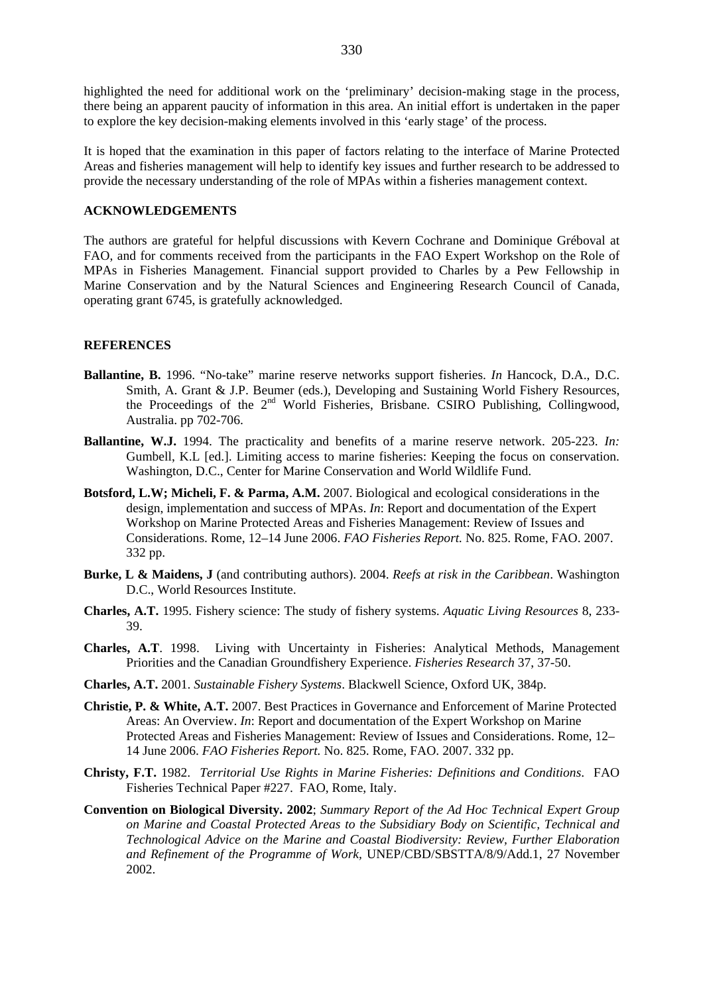highlighted the need for additional work on the 'preliminary' decision-making stage in the process, there being an apparent paucity of information in this area. An initial effort is undertaken in the paper to explore the key decision-making elements involved in this 'early stage' of the process.

It is hoped that the examination in this paper of factors relating to the interface of Marine Protected Areas and fisheries management will help to identify key issues and further research to be addressed to provide the necessary understanding of the role of MPAs within a fisheries management context.

#### **ACKNOWLEDGEMENTS**

The authors are grateful for helpful discussions with Kevern Cochrane and Dominique Gréboval at FAO, and for comments received from the participants in the FAO Expert Workshop on the Role of MPAs in Fisheries Management. Financial support provided to Charles by a Pew Fellowship in Marine Conservation and by the Natural Sciences and Engineering Research Council of Canada, operating grant 6745, is gratefully acknowledged.

#### **REFERENCES**

- **Ballantine, B.** 1996. "No-take" marine reserve networks support fisheries. *In* Hancock, D.A., D.C. Smith, A. Grant & J.P. Beumer (eds.), Developing and Sustaining World Fishery Resources, the Proceedings of the  $2<sup>nd</sup>$  World Fisheries, Brisbane. CSIRO Publishing, Collingwood, Australia. pp 702-706.
- **Ballantine, W.J.** 1994. The practicality and benefits of a marine reserve network. 205-223. *In:*  Gumbell, K.L [ed.]. Limiting access to marine fisheries: Keeping the focus on conservation. Washington, D.C., Center for Marine Conservation and World Wildlife Fund.
- **Botsford, L.W; Micheli, F. & Parma, A.M.** 2007. Biological and ecological considerations in the design, implementation and success of MPAs. *In*: Report and documentation of the Expert Workshop on Marine Protected Areas and Fisheries Management: Review of Issues and Considerations. Rome, 12–14 June 2006. *FAO Fisheries Report.* No. 825. Rome, FAO. 2007. 332 pp.
- **Burke, L & Maidens, J** (and contributing authors). 2004. *Reefs at risk in the Caribbean*. Washington D.C., World Resources Institute.
- **Charles, A.T.** 1995. Fishery science: The study of fishery systems. *Aquatic Living Resources* 8, 233- 39.
- **Charles, A.T**. 1998. Living with Uncertainty in Fisheries: Analytical Methods, Management Priorities and the Canadian Groundfishery Experience. *Fisheries Research* 37, 37-50.
- **Charles, A.T.** 2001. *Sustainable Fishery Systems*. Blackwell Science, Oxford UK, 384p.
- **Christie, P. & White, A.T.** 2007. Best Practices in Governance and Enforcement of Marine Protected Areas: An Overview. *In*: Report and documentation of the Expert Workshop on Marine Protected Areas and Fisheries Management: Review of Issues and Considerations. Rome, 12– 14 June 2006. *FAO Fisheries Report.* No. 825. Rome, FAO. 2007. 332 pp.
- **Christy, F.T.** 1982. *Territorial Use Rights in Marine Fisheries: Definitions and Conditions*. FAO Fisheries Technical Paper #227. FAO, Rome, Italy.
- **Convention on Biological Diversity. 2002**; *Summary Report of the Ad Hoc Technical Expert Group on Marine and Coastal Protected Areas to the Subsidiary Body on Scientific, Technical and Technological Advice on the Marine and Coastal Biodiversity: Review, Further Elaboration and Refinement of the Programme of Work,* UNEP/CBD/SBSTTA/8/9/Add.1, 27 November 2002.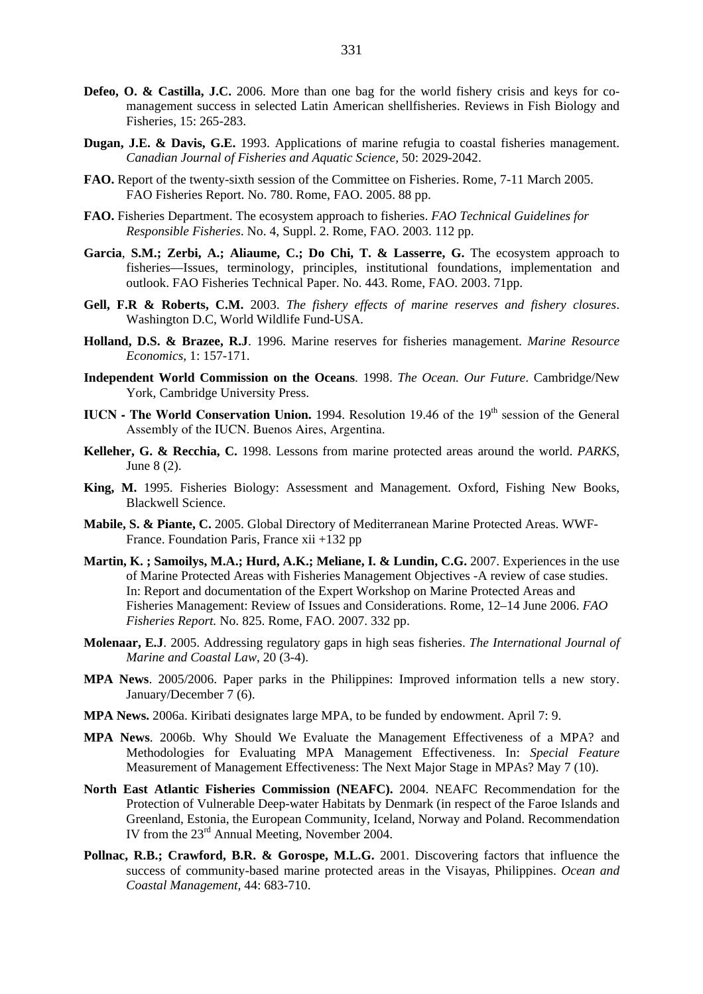- **Defeo, O. & Castilla, J.C.** 2006. More than one bag for the world fishery crisis and keys for comanagement success in selected Latin American shellfisheries. Reviews in Fish Biology and Fisheries, 15: 265-283.
- **Dugan, J.E. & Davis, G.E.** 1993. Applications of marine refugia to coastal fisheries management. *Canadian Journal of Fisheries and Aquatic Science,* 50: 2029-2042.
- **FAO.** Report of the twenty-sixth session of the Committee on Fisheries. Rome, 7-11 March 2005. FAO Fisheries Report. No. 780. Rome, FAO. 2005. 88 pp.
- **FAO.** Fisheries Department. The ecosystem approach to fisheries. *FAO Technical Guidelines for Responsible Fisheries*. No. 4, Suppl. 2. Rome, FAO. 2003. 112 pp.
- **Garcia**, **S.M.; Zerbi, A.; Aliaume, C.; Do Chi, T. & Lasserre, G.** The ecosystem approach to fisheries—Issues, terminology, principles, institutional foundations, implementation and outlook. FAO Fisheries Technical Paper. No. 443. Rome, FAO. 2003. 71pp.
- **Gell, F.R & Roberts, C.M.** 2003. *The fishery effects of marine reserves and fishery closures*. Washington D.C, World Wildlife Fund-USA.
- **Holland, D.S. & Brazee, R.J**. 1996. Marine reserves for fisheries management. *Marine Resource Economics,* 1: 157-171.
- **Independent World Commission on the Oceans**. 1998. *The Ocean. Our Future*. Cambridge/New York, Cambridge University Press.
- **IUCN The World Conservation Union.** 1994. Resolution 19.46 of the 19<sup>th</sup> session of the General Assembly of the IUCN. Buenos Aires, Argentina.
- **Kelleher, G. & Recchia, C.** 1998. Lessons from marine protected areas around the world. *PARKS*, June 8 (2).
- **King, M.** 1995. Fisheries Biology: Assessment and Management. Oxford, Fishing New Books, Blackwell Science.
- **Mabile, S. & Piante, C.** 2005. Global Directory of Mediterranean Marine Protected Areas. WWF-France. Foundation Paris, France xii +132 pp
- **Martin, K. ; Samoilys, M.A.; Hurd, A.K.; Meliane, I. & Lundin, C.G.** 2007. Experiences in the use of Marine Protected Areas with Fisheries Management Objectives -A review of case studies. In: Report and documentation of the Expert Workshop on Marine Protected Areas and Fisheries Management: Review of Issues and Considerations. Rome, 12–14 June 2006. *FAO Fisheries Report.* No. 825. Rome, FAO. 2007. 332 pp.
- **Molenaar, E.J**. 2005. Addressing regulatory gaps in high seas fisheries. *The International Journal of Marine and Coastal Law*, 20 (3-4).
- **MPA News**. 2005/2006. Paper parks in the Philippines: Improved information tells a new story. January/December 7 (6).
- **MPA News.** 2006a. Kiribati designates large MPA, to be funded by endowment. April 7: 9.
- **MPA News**. 2006b. Why Should We Evaluate the Management Effectiveness of a MPA? and Methodologies for Evaluating MPA Management Effectiveness. In: *Special Feature* Measurement of Management Effectiveness: The Next Major Stage in MPAs? May 7 (10).
- **North East Atlantic Fisheries Commission (NEAFC).** 2004. NEAFC Recommendation for the Protection of Vulnerable Deep-water Habitats by Denmark (in respect of the Faroe Islands and Greenland, Estonia, the European Community, Iceland, Norway and Poland. Recommendation IV from the 23rd Annual Meeting, November 2004.
- Pollnac, R.B.; Crawford, B.R. & Gorospe, M.L.G. 2001. Discovering factors that influence the success of community-based marine protected areas in the Visayas, Philippines. *Ocean and Coastal Management,* 44: 683-710.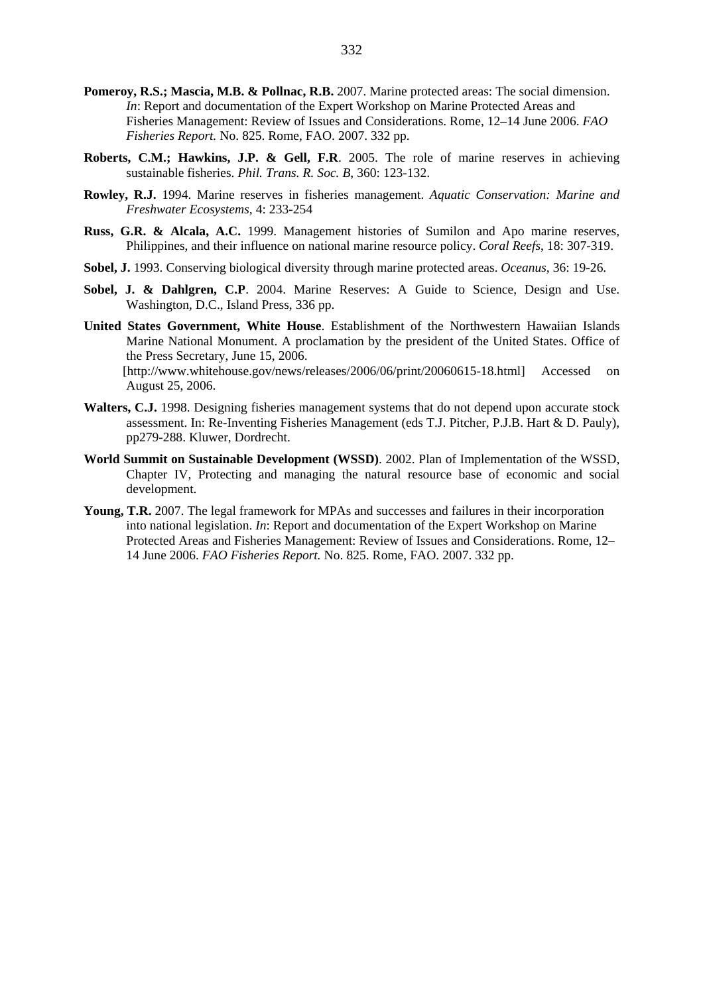- **Pomeroy, R.S.; Mascia, M.B. & Pollnac, R.B.** 2007. Marine protected areas: The social dimension. *In*: Report and documentation of the Expert Workshop on Marine Protected Areas and Fisheries Management: Review of Issues and Considerations. Rome, 12–14 June 2006. *FAO Fisheries Report.* No. 825. Rome, FAO. 2007. 332 pp.
- **Roberts, C.M.; Hawkins, J.P. & Gell, F.R**. 2005. The role of marine reserves in achieving sustainable fisheries. *Phil. Trans. R. Soc. B*, 360: 123-132.
- **Rowley, R.J.** 1994. Marine reserves in fisheries management. *Aquatic Conservation: Marine and Freshwater Ecosystems,* 4: 233-254
- **Russ, G.R. & Alcala, A.C.** 1999. Management histories of Sumilon and Apo marine reserves, Philippines, and their influence on national marine resource policy. *Coral Reefs*, 18: 307-319.
- **Sobel, J.** 1993. Conserving biological diversity through marine protected areas. *Oceanus,* 36: 19-26.
- **Sobel, J. & Dahlgren, C.P**. 2004. Marine Reserves: A Guide to Science, Design and Use. Washington, D.C., Island Press, 336 pp.
- **United States Government, White House**. Establishment of the Northwestern Hawaiian Islands Marine National Monument. A proclamation by the president of the United States. Office of the Press Secretary, June 15, 2006. [http://www.whitehouse.gov/news/releases/2006/06/print/20060615-18.html] Accessed on August 25, 2006.
- **Walters, C.J.** 1998. Designing fisheries management systems that do not depend upon accurate stock assessment. In: Re-Inventing Fisheries Management (eds T.J. Pitcher, P.J.B. Hart & D. Pauly), pp279-288. Kluwer, Dordrecht.
- **World Summit on Sustainable Development (WSSD)**. 2002. Plan of Implementation of the WSSD, Chapter IV, Protecting and managing the natural resource base of economic and social development.
- **Young, T.R.** 2007. The legal framework for MPAs and successes and failures in their incorporation into national legislation. *In*: Report and documentation of the Expert Workshop on Marine Protected Areas and Fisheries Management: Review of Issues and Considerations. Rome, 12– 14 June 2006. *FAO Fisheries Report.* No. 825. Rome, FAO. 2007. 332 pp.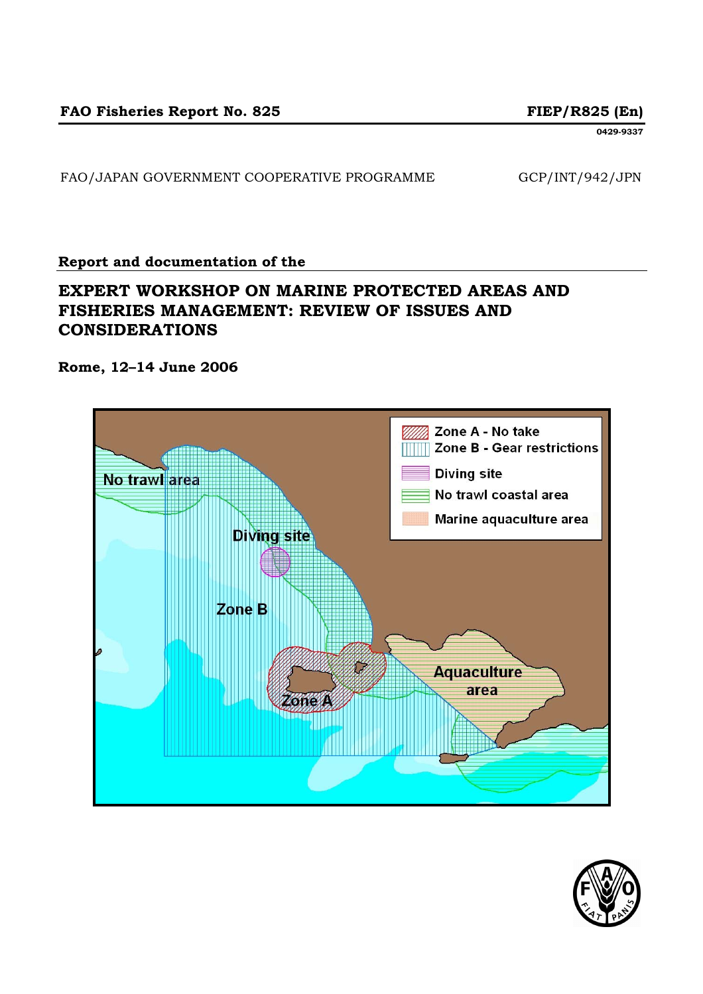**0429-9337** 

FAO/JAPAN GOVERNMENT COOPERATIVE PROGRAMME GCP/INT/942/JPN

### **Report and documentation of the**

# **EXPERT WORKSHOP ON MARINE PROTECTED AREAS AND FISHERIES MANAGEMENT: REVIEW OF ISSUES AND CONSIDERATIONS**

**Rome, 12–14 June 2006**